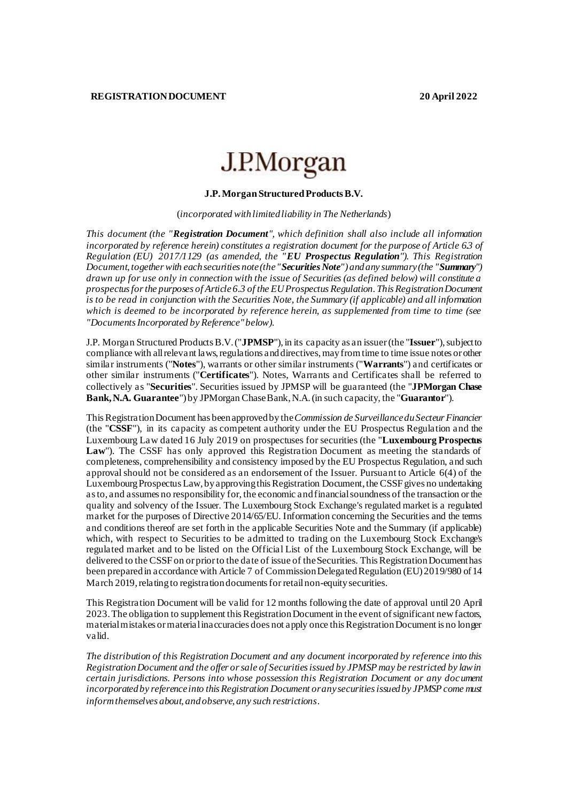# J.P.Morgan

## **J.P. Morgan Structured Products B.V.**

(*incorporated with limited liability in The Netherlands*)

*This document (the "Registration Document", which definition shall also include all information incorporated by reference herein) constitutes a registration document for the purpose of Article 6.3 of Regulation (EU) 2017/1129 (as amended, the "EU Prospectus Regulation"). This Registration Document, together with each securities note (the "Securities Note") and any summary (the "Summary") drawn up for use only in connection with the issue of Securities (as defined below) will constitute a prospectus for the purposes of Article 6.3 of the EUProspectus Regulation. This Registration Document is to be read in conjunction with the Securities Note, the Summary (if applicable) and all information which is deemed to be incorporated by reference herein, as supplemented from time to time (see "Documents Incorporated by Reference" below).* 

J.P. Morgan Structured Products B.V. ("**JPMSP**"), in its capacity as an issuer(the "**Issuer**"), subject to compliance with all relevant laws, regulations and directives, may from time to time issue notes or other similar instruments ("**Notes**"), warrants or other similar instruments ("**Warrants**") and certificates or other similar instruments ("**Certificates**"). Notes, Warrants and Certificates shall be referred to collectively as "**Securities**". Securities issued by JPMSP will be guaranteed (the "**JPMorgan Chase Bank, N.A. Guarantee**") by JPMorgan Chase Bank, N.A. (in such capacity, the "**Guarantor**").

This Registration Document has been approved by the *Commission de Surveillance du Secteur Financier* (the "**CSSF**"), in its capacity as competent authority under the EU Prospectus Regulation and the Luxembourg Law dated 16 July 2019 on prospectuses for securities (the "**Luxembourg Prospectus**  Law"). The CSSF has only approved this Registration Document as meeting the standards of completeness, comprehensibility and consistency imposed by the EU Prospectus Regulation, and such approval should not be considered as an endorsement of the Issuer. Pursuant to Article 6(4) of the Luxembourg Prospectus Law, by approving this Registration Document, the CSSF gives no undertaking as to, and assumes no responsibility for, the economic and financial soundness of the transaction or the quality and solvency of the Issuer. The Luxembourg Stock Exchange's regulated market is a regulated market for the purposes of Directive 2014/65/EU. Information concerning the Securities and the terms and conditions thereof are set forth in the applicable Securities Note and the Summary (if applicable) which, with respect to Securities to be admitted to trading on the Luxembourg Stock Exchange's regulated market and to be listed on the Official List of the Luxembourg Stock Exchange, will be delivered to the CSSF on or prior to the date of issue of the Securities. This Registration Document has been prepared in accordance with Article 7 of Commission Delegated Regulation (EU) 2019/980 of 14 March 2019, relating to registration documents for retailnon-equity securities.

This Registration Document will be valid for 12 months following the date of approval until 20 April 2023. The obligation to supplement this Registration Document in the event of significant new factors, material mistakes or material inaccuracies does not apply once this Registration Document is no longer valid.

*The distribution of this Registration Document and any document incorporated by reference into this Registration Document and the offer or sale of Securities issued by JPMSP may be restricted by law in certain jurisdictions. Persons into whose possession this Registration Document or any document incorporated by reference into this Registration Document or any securities issued by JPMSP come must inform themselves about, and observe, any such restrictions*.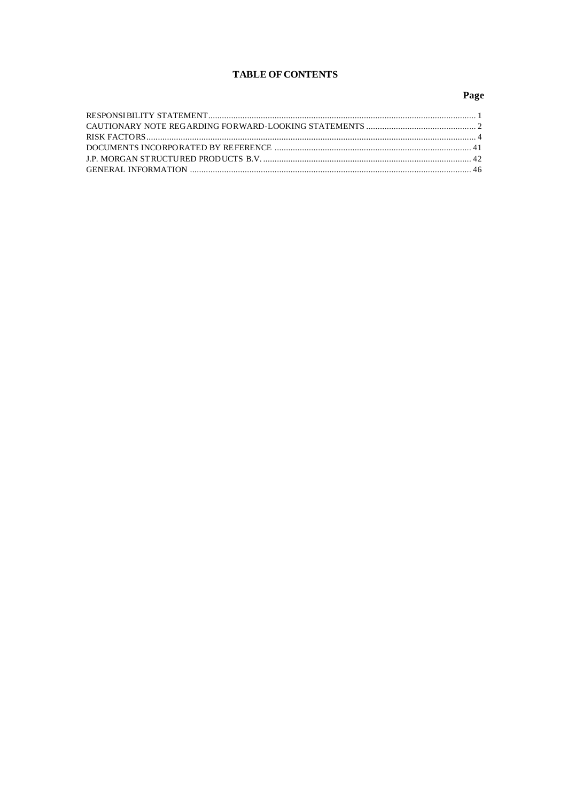## **TABLE OF CONTENTS**

# Page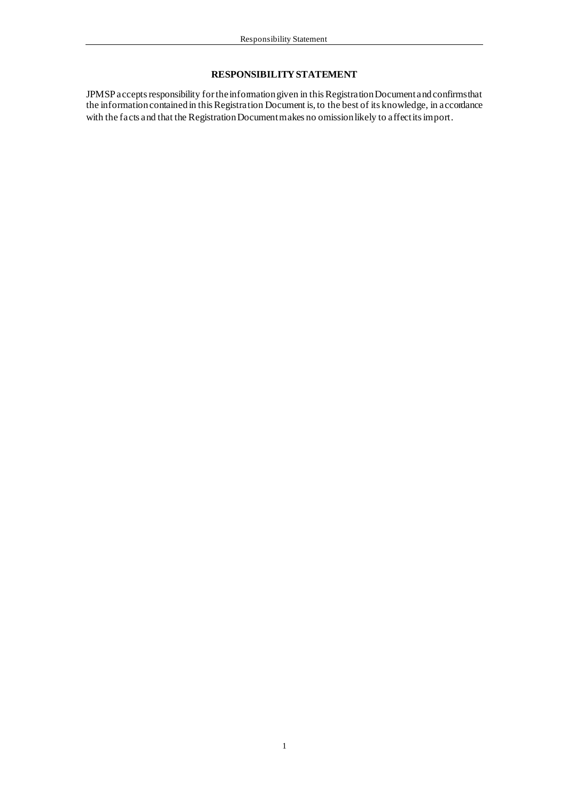## **RESPONSIBILITY STATEMENT**

JPMSP accepts responsibility for the information given in this Registration Document and confirms that the information contained in this Registration Document is, to the best of its knowledge, in accordance with the facts and that the Registration Document makes no omission likely to affect its import.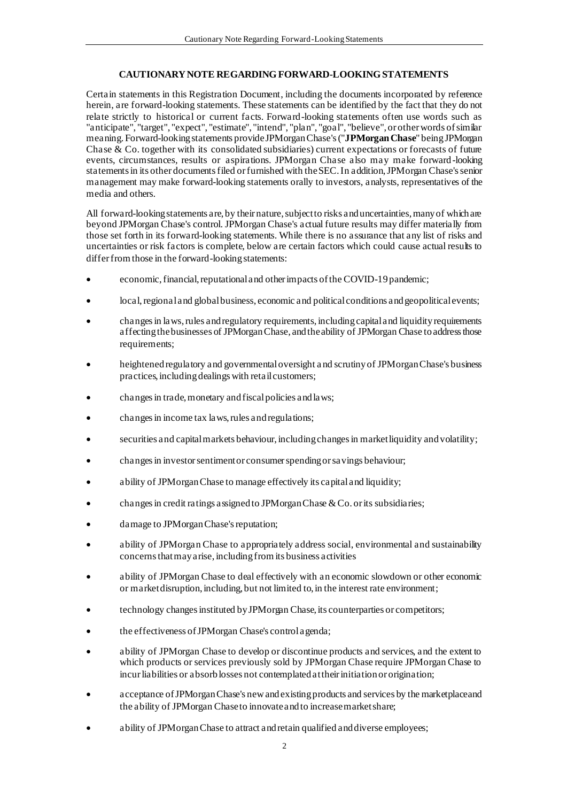## **CAUTIONARY NOTE REGARDING FORWARD-LOOKING STATEMENTS**

Certain statements in this Registration Document, including the documents incorporated by reference herein, are forward-looking statements. These statements can be identified by the fact that they do not relate strictly to historical or current facts. Forward-looking statements often use words such as "anticipate", "target", "expect", "estimate", "intend", "plan", "goal", "believe", or other words of similar meaning. Forward-looking statements provide JPMorgan Chase's ("**JPMorgan Chase**" being JPMorgan Chase & Co. together with its consolidated subsidiaries) current expectations or forecasts of future events, circumstances, results or aspirations. JPMorgan Chase also may make forward-looking statements in its other documents filed or furnished with the SEC. In addition, JPMorgan Chase's senior management may make forward-looking statements orally to investors, analysts, representatives of the media and others.

All forward-looking statements are, by their nature, subject to risks and uncertainties, many of which are beyond JPMorgan Chase's control. JPMorgan Chase's actual future results may differ materially from those set forth in its forward-looking statements. While there is no assurance that any list of risks and uncertainties or risk factors is complete, below are certain factors which could cause actual results to differ from those in the forward-looking statements:

- economic, financial, reputational and other impacts of the COVID-19 pandemic;
- local, regional and global business, economic and political conditions and geopolitical events;
- changes in laws, rules and regulatory requirements, including capital and liquidity requirements affecting the businesses of JPMorgan Chase, and the ability of JPMorgan Chase to address those requirements;
- heightened regulatory and governmental oversight a nd scrutiny of JPMorgan Chase's business practices, including dealings with retail customers;
- changes in trade, monetary and fiscal policies and laws;
- changes in income tax laws, rules and regulations;
- securities and capital markets behaviour, including changes in market liquidity and volatility;
- changes in investor sentiment or consumer spending or savings behaviour;
- ability of JPMorgan Chase to manage effectively its capital and liquidity;
- changes in credit ratings assigned to JPMorgan Chase & Co. or its subsidiaries;
- damage to JPMorgan Chase's reputation;
- ability of JPMorgan Chase to appropriately address social, environmental and sustainability concerns that may arise, includingfrom its business activities
- ability of JPMorgan Chase to deal effectively with an economic slowdown or other economic or market disruption, including, but not limited to, in the interest rate environment;
- technology changes instituted by JPMorgan Chase, its counterparties or competitors;
- the effectiveness of JPMorgan Chase's control agenda;
- ability of JPMorgan Chase to develop or discontinue products and services, and the extent to which products or services previously sold by JPMorgan Chase require JPMorgan Chase to incur liabilities or absorb losses not contemplated at their initiation or origination;
- acceptance of JPMorgan Chase's new and existing products and services by the marketplace and the ability of JPMorgan Chase to innovate and to increase market share;
- ability of JPMorgan Chase to attract and retain qualified and diverse employees;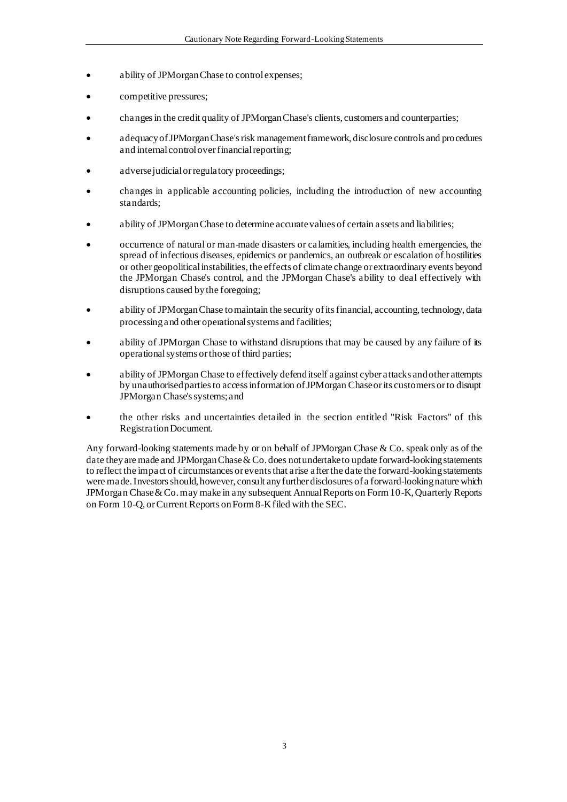- ability of JPMorgan Chase to control expenses;
- competitive pressures;
- changes in the credit quality of JPMorgan Chase's clients, customers and counterparties;
- adequacy of JPMorgan Chase's risk management framework, disclosure controls and procedures and internal control over financial reporting;
- adverse judicial or regulatory proceedings;
- changes in applicable accounting policies, including the introduction of new accounting standards;
- ability of JPMorgan Chase to determine accurate values of certain assets and liabilities;
- occurrence of natural or man-made disasters or calamities, including health emergencies, the spread of infectious diseases, epidemics or pandemics, an outbreak or escalation of hostilities or other geopolitical instabilities, the effects of climate change or extraordinary events beyond the JPMorgan Chase's control, and the JPMorgan Chase's ability to deal effectively with disruptions caused by the foregoing;
- ability of JPMorgan Chase to maintain the security of its financial, accounting, technology, data processing and other operational systems and facilities;
- ability of JPMorgan Chase to withstand disruptions that may be caused by any failure of its operational systems or those of third parties;
- ability of JPMorgan Chase to effectively defend itself against cyber attacks and other attempts by unauthorised parties to access information of JPMorgan Chase or its customers or to disrupt JPMorgan Chase's systems; and
- the other risks and uncertainties detailed in the section entitled "Risk Factors" of this Registration Document.

Any forward-looking statements made by or on behalf of JPMorgan Chase & Co. speak only as of the date they are made and JPMorgan Chase & Co. does not undertake to update forward-looking statements to reflect the impact of circumstances or events that arise after the date the forward-looking statements were made. Investors should, however, consult any further disclosures of a forward-looking nature which JPMorgan Chase & Co. may make in any subsequent Annual Reports on Form 10-K, Quarterly Reports on Form 10-Q, or Current Reports on Form 8-K filed with the SEC.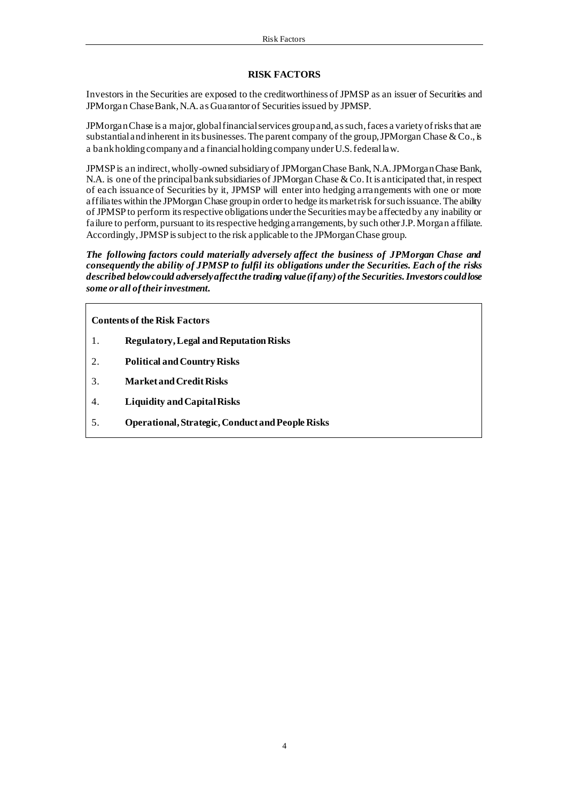#### **RISK FACTORS**

Investors in the Securities are exposed to the creditworthiness of JPMSP as an issuer of Securities and JPMorgan Chase Bank, N.A. as Guarantor of Securities issued by JPMSP.

JPMorgan Chase is a major, global financial services group and, as such, faces a variety of risks that are substantial and inherent in its businesses. The parent company of the group, JPMorgan Chase  $& Co.,$  is a bank holding company and a financial holding company under U.S. federal law.

JPMSP is an indirect, wholly-owned subsidiary of JPMorgan Chase Bank, N.A. JPMorgan Chase Bank, N.A. is one of the principal bank subsidiaries of JPMorgan Chase & Co. It is anticipated that, in respect of each issuance of Securities by it, JPMSP will enter into hedging arrangements with one or more affiliates within the JPMorgan Chase group in order to hedge its market risk for such issuance. The ability of JPMSP to perform its respective obligations under the Securities may be affected by any inability or failure to perform, pursuant to its respective hedging arrangements, by such other J.P. Morgan affiliate. Accordingly, JPMSP is subject to the risk applicable to the JPMorgan Chase group.

*The following factors could materially adversely affect the business of JPMorgan Chase and consequently the ability of JPMSP to fulfil its obligations under the Securities. Each of the risks described below could adversely affect the trading value (if any) of the Securities. Investors could lose some or all of their investment.*

**Contents of the Risk Factors**

- 1. **Regulatory, Legal and Reputation Risks**
- 2. **Political and Country Risks**
- 3. **Market and Credit Risks**
- 4. **Liquidity and Capital Risks**
- 5. **Operational, Strategic, Conduct and People Risks**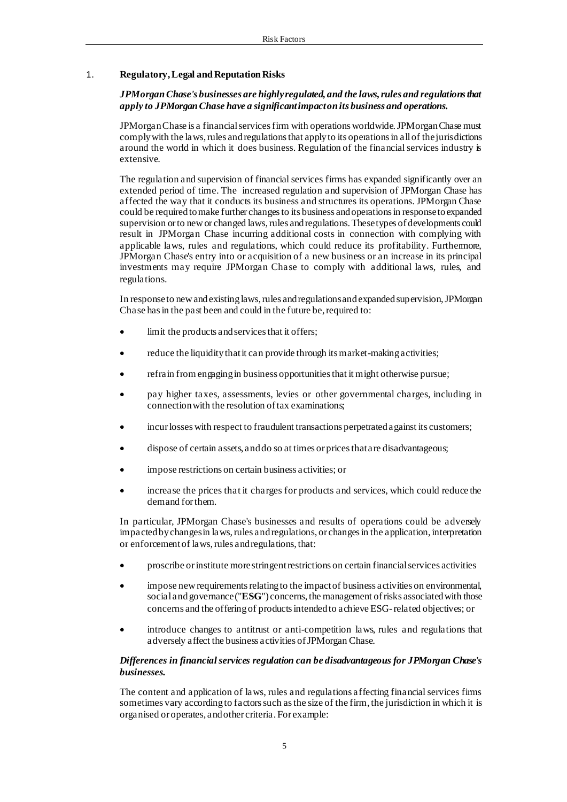## 1. **Regulatory, Legal and Reputation Risks**

## *JPMorgan Chase's businesses are highly regulated, and the laws, rules and regulations that apply to JPMorgan Chase have a significant impact on its business and operations.*

JPMorgan Chase is a financial services firm with operations worldwide. JPMorgan Chase must comply with the laws, rules and regulations that apply to its operations in all of the jurisdictions around the world in which it does business. Regulation of the financial services industry is extensive.

The regulation and supervision of financial services firms has expanded significantly over an extended period of time. The increased regulation and supervision of JPMorgan Chase has affected the way that it conducts its business and structures its operations. JPMorgan Chase could be required to make further changes to its business and operations in response to expanded supervision or to new or changed laws, rules and regulations. These types of developments could result in JPMorgan Chase incurring additional costs in connection with complying with applicable laws, rules and regulations, which could reduce its profitability. Furthermore, JPMorgan Chase's entry into or acquisition of a new business or an increase in its principal investments may require JPMorgan Chase to comply with additional laws, rules, and regulations.

In response to new and existing laws, rules and regulations and expanded supervision, JPMorgan Chase has in the past been and could in the future be, required to:

- limit the products and services that it offers;
- reduce the liquidity that it can provide through its market-making activities;
- refrain from engaging in business opportunities that it might otherwise pursue;
- pay higher taxes, assessments, levies or other governmental charges, including in connection with the resolution of tax examinations;
- incur losses with respect to fraudulent transactions perpetrated against its customers;
- dispose of certain assets, and do so at times or prices that are disadvantageous;
- impose restrictions on certain business activities; or
- increase the prices that it charges for products and services, which could reduce the demand for them.

In particular, JPMorgan Chase's businesses and results of operations could be adversely impacted by changes in laws, rules and regulations, or changes in the application, interpretation or enforcement of laws, rules and regulations, that:

- proscribe or institute more stringent restrictions on certain financial services activities
- impose new requirements relating to the impact of business activities on environmental, social and governance ("**ESG**") concerns, the management of risks associated with those concerns and the offering of products intended to achieve ESG-related objectives; or
- introduce changes to antitrust or anti-competition laws, rules and regulations that adversely affect the business activities of JPMorgan Chase.

## *Differences in financial services regulation can be disadvantageous for JPMorgan Chase's businesses.*

The content and application of laws, rules and regulations affecting financial services firms sometimes vary according to factors such as the size of the firm, the jurisdiction in which it is organised or operates, and other criteria. For example: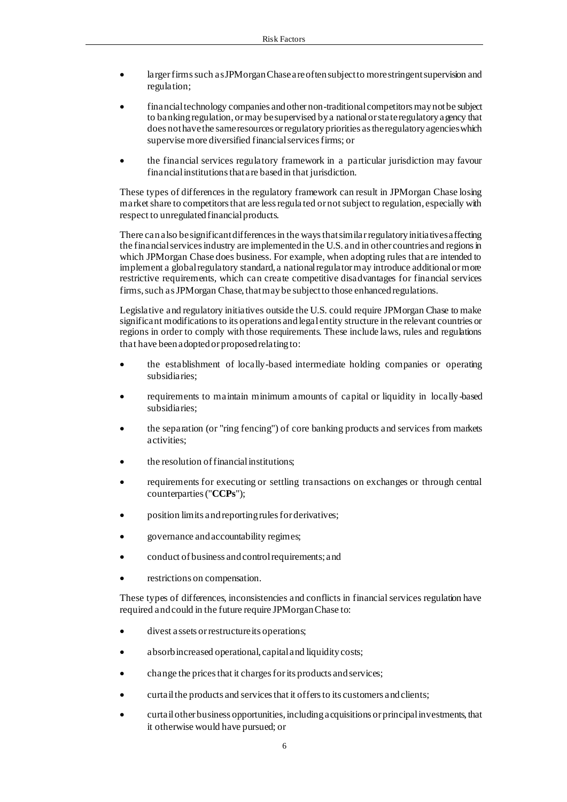- larger firms such as JPMorgan Chase are often subject to more stringent supervision and regulation;
- financial technology companies and other non-traditional competitors may not be subject to banking regulation, or may be supervised by a national or state regulatory agency that does not have the same resources or regulatory priorities as the regulatory agencies which supervise more diversified financial services firms; or
- the financial services regulatory framework in a particular jurisdiction may favour financial institutions that are based in that jurisdiction.

These types of differences in the regulatory framework can result in JPMorgan Chase losing market share to competitors that are less regula ted or not subject to regulation, especially with respect to unregulated financial products.

There can also be significant differences in the ways that similar regulatory initiatives affecting the financial services industry are implemented in the U.S. and in other countries and regions in which JPMorgan Chase does business. For example, when adopting rules that are intended to implement a global regulatory standard, a national regulator may introduce additional or more restrictive requirements, which can create competitive disadvantages for financial services firms, such as JPMorgan Chase, that may be subject to those enhanced regulations.

Legislative and regulatory initiatives outside the U.S. could require JPMorgan Chase to make significant modifications to its operations and legal entity structure in the relevant countries or regions in order to comply with those requirements. These include laws, rules and regulations that have been adopted or proposed relating to:

- the establishment of locally-based intermediate holding companies or operating subsidiaries;
- requirements to maintain minimum amounts of capital or liquidity in locally-based subsidiaries;
- the separation (or "ring fencing") of core banking products and services from markets activities;
- the resolution of financial institutions;
- requirements for executing or settling transactions on exchanges or through central counterparties ("**CCPs**");
- position limits and reporting rules for derivatives;
- governance and accountability regimes;
- conduct of business and control requirements; and
- restrictions on compensation.

These types of differences, inconsistencies and conflicts in financial services regulation have required and could in the future require JPMorgan Chase to:

- divest assets or restructure its operations;
- absorb increased operational, capital and liquidity costs;
- change the prices that it charges for its products and services;
- curtail the products and services that it offers to its customers and clients;
- curtail other business opportunities, including acquisitions or principal investments, that it otherwise would have pursued; or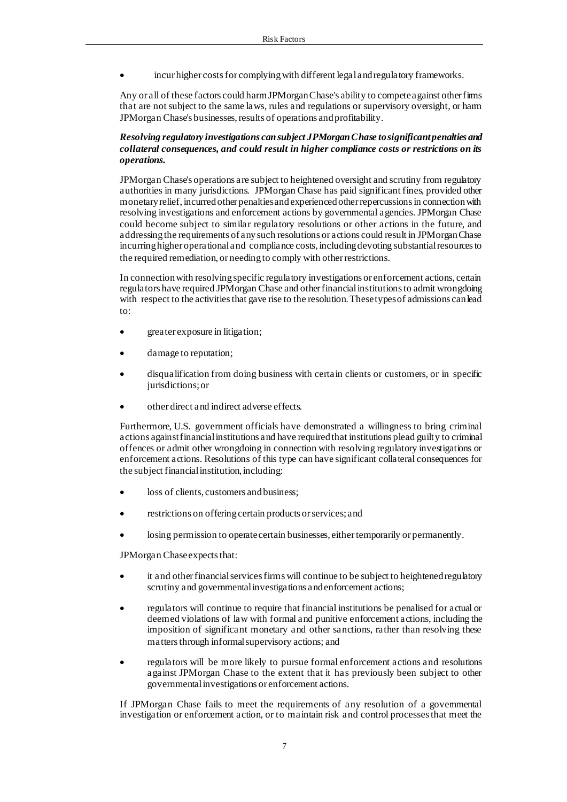• incur higher costs for complying with different legal and regulatory frameworks.

Any or all of these factors could harm JPMorgan Chase's ability to compete against other firms that are not subject to the same laws, rules and regulations or supervisory oversight, or harm JPMorgan Chase's businesses, results of operations and profitability.

## *Resolving regulatory investigations can subject JPMorgan Chase to significant penalties and collateral consequences, and could result in higher compliance costs or restrictions on its operations.*

JPMorgan Chase's operations are subject to heightened oversight and scrutiny from regulatory authorities in many jurisdictions. JPMorgan Chase has paid significant fines, provided other monetary relief, incurred other penalties and experienced other repercussions in connection with resolving investigations and enforcement actions by governmental agencies. JPMorgan Chase could become subject to similar regulatory resolutions or other actions in the future, and addressing the requirements of any such resolutions or actions could result in JPMorgan Chase incurring higher operational and compliance costs, including devoting substantial resources to the required remediation, or needing to comply with other restrictions.

In connection with resolving specific regulatory investigations or enforcement actions, certain regulators have required JPMorgan Chase and other financial institutions to admit wrongdoing with respect to the activities that gave rise to the resolution. These types of admissions can lead to:

- greater exposure in litigation;
- damage to reputation;
- disqualification from doing business with certain clients or customers, or in specific jurisdictions; or
- other direct and indirect adverse effects.

Furthermore, U.S. government officials have demonstrated a willingness to bring criminal actions against financial institutions and have required that institutions plead guilty to criminal offences or admit other wrongdoing in connection with resolving regulatory investigations or enforcement actions. Resolutions of this type can have significant collateral consequences for the subject financial institution, including:

- loss of clients, customers and business;
- restrictions on offering certain products or services; and
- losing permission to operate certain businesses, either temporarily or permanently.

JPMorgan Chase expects that:

- it and other financial services firms will continue to be subject to heightened regulatory scrutiny and governmental investigations and enforcement actions;
- regulators will continue to require that financial institutions be penalised for actual or deemed violations of law with formal and punitive enforcement actions, including the imposition of significant monetary and other sanctions, rather than resolving these matters through informal supervisory actions; and
- regulators will be more likely to pursue formal enforcement actions and resolutions against JPMorgan Chase to the extent that it has previously been subject to other governmental investigations or enforcement actions.

If JPMorgan Chase fails to meet the requirements of any resolution of a governmental investigation or enforcement action, or to maintain risk and control processes that meet the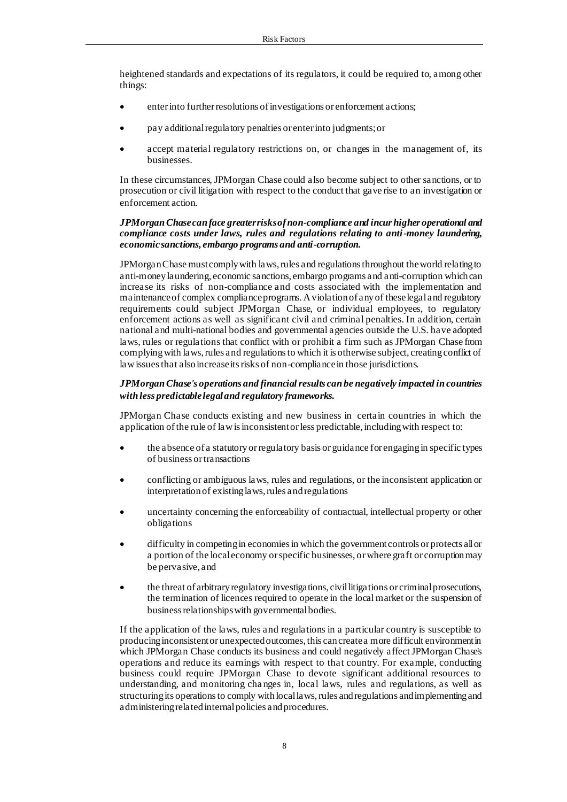heightened standards and expectations of its regulators, it could be required to, among other things:

- enter into further resolutions of investigations or enforcement actions;
- pay additional regulatory penalties or enter into judgments; or
- accept material regulatory restrictions on, or changes in the management of, its businesses.

In these circumstances, JPMorgan Chase could also become subject to other sanctions, or to prosecution or civil litigation with respect to the conduct that gave rise to an investigation or enforcement action.

#### *JPMorgan Chase can face greater risks of non-compliance and incur higher operational and compliance costs under laws, rules and regulations relating to anti-money laundering, economic sanctions, embargo programs and anti-corruption.*

JPMorgan Chase must comply with laws, rules and regulations throughout the world relating to anti-money laundering, economic sanctions, embargo programs and anti-corruption which can increase its risks of non-compliance and costs associated with the implementation and maintenance of complex compliance programs. A violation of any of these legal and regulatory requirements could subject JPMorgan Chase, or individual employees, to regulatory enforcement actions as well as significant civil and criminal penalties. In addition, certain national and multi-national bodies and governmental agencies outside the U.S. have adopted laws, rules or regulations that conflict with or prohibit a firm such as JPMorgan Chase from complying with laws, rules and regulations to which it is otherwise subject, creating conflict of law issues that also increase its risks of non-compliance in those jurisdictions.

## *JPMorgan Chase's operations and financial results can be negatively impacted in countries with less predictable legal and regulatory frameworks.*

JPMorgan Chase conducts existing and new business in certain countries in which the application of the rule of law is inconsistent or less predictable, including with respect to:

- the absence of a statutory or regulatory basis or guidance for engaging in specific types of business or transactions
- conflicting or ambiguous laws, rules and regulations, or the inconsistent application or interpretation of existing laws, rules and regulations
- uncertainty concerning the enforceability of contractual, intellectual property or other obligations
- difficulty in competing in economies in which the government controls or protects all or a portion of the local economy or specific businesses, or where graft or corruption may be pervasive, and
- the threat of arbitrary regulatory investigations, civil litigations or criminal prosecutions, the termination of licences required to operate in the local market or the suspension of business relationshipswith governmental bodies.

If the application of the laws, rules and regulations in a particular country is susceptible to producing inconsistent or unexpected outcomes, this can create a more difficult environment in which JPMorgan Chase conducts its business and could negatively affect JPMorgan Chase's operations and reduce its earnings with respect to that country. For example, conducting business could require JPMorgan Chase to devote significant additional resources to understanding, and monitoring cha nges in, local laws, rules and regulations, as well as structuring its operations to comply with local laws, rules and regulations and implementing and administering related internal policies and procedures.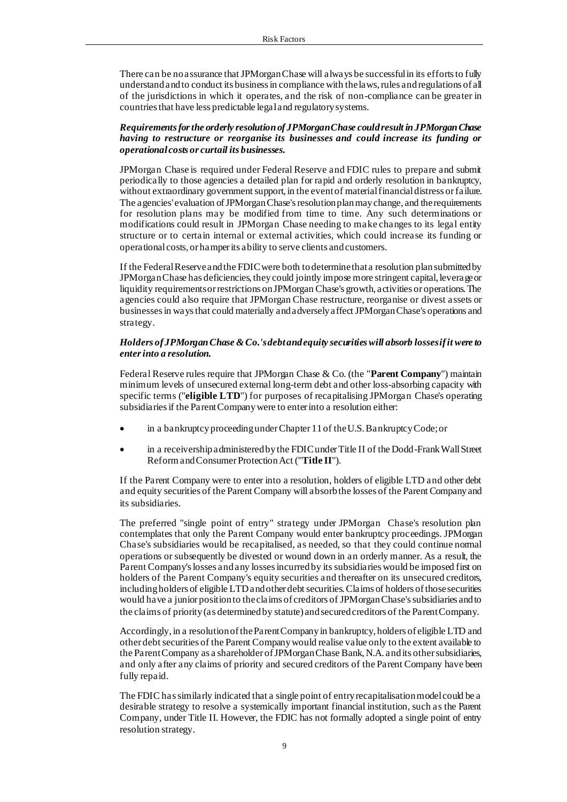There can be no assurance that JPMorgan Chase will always be successful in its efforts to fully understand and to conduct its business in compliance with the laws, rules and regulations of all of the jurisdictions in which it operates, and the risk of non-compliance can be greater in countries that have less predictable legal and regulatory systems.

*Requirements for the orderly resolution of JPMorgan Chase could result in JPMorgan Chase having to restructure or reorganise its businesses and could increase its funding or operational costs or curtail its businesses.*

JPMorgan Chase is required under Federal Reserve and FDIC rules to prepare and submit periodically to those agencies a detailed plan for rapid and orderly resolution in bankruptcy, without extraordinary government support, in the event of material financial distress or failure. The agencies' evaluation of JPMorgan Chase's resolution plan may change, and the requirements for resolution plans may be modified from time to time. Any such determinations or modifications could result in JPMorgan Chase needing to make changes to its legal entity structure or to certain internal or external activities, which could increase its funding or operational costs, or hamper its ability to serve clients and customers.

If the Federal Reserve and the FDIC were both to determine that a resolution plan submitted by JPMorgan Chase has deficiencies, they could jointly impose more stringent capital, leverage or liquidity requirements or restrictions on JPMorgan Chase's growth, activities or operations. The agencies could also require that JPMorgan Chase restructure, reorganise or divest assets or businesses in ways that could materially and adversely affect JPMorgan Chase's operations and strategy.

#### *Holders of JPMorgan Chase & Co.'s debt and equity securities will absorb losses if it were to enter into a resolution.*

Federal Reserve rules require that JPMorgan Chase & Co. (the "**Parent Company**") maintain minimum levels of unsecured external long-term debt and other loss-absorbing capacity with specific terms ("**eligible LTD**") for purposes of recapitalising JPMorgan Chase's operating subsidiaries if the Parent Company were to enter into a resolution either:

- in a bankruptcy proceeding under Chapter 11 of the U.S. Bankruptcy Code; or
- in a receivership administered by the FDIC under Title II of the Dodd-Frank Wall Street Reform and Consumer Protection Act ("**Title II**").

If the Parent Company were to enter into a resolution, holders of eligible LTD and other debt and equity securities of the Parent Company will absorb the losses of the Parent Company and its subsidiaries.

The preferred "single point of entry" strategy under JPMorgan Chase's resolution plan contemplates that only the Parent Company would enter bankruptcy proceedings. JPMorgan Chase's subsidiaries would be recapitalised, as needed, so that they could continue normal operations or subsequently be divested or wound down in an orderly manner. As a result, the Parent Company's losses and any losses incurred by its subsidiaries would be imposed first on holders of the Parent Company's equity securities and thereafter on its unsecured creditors, including holders of eligible LTD and other debt securities. Claims of holders of those securities would have a junior position to the claims of creditors of JPMorgan Chase's subsidiaries and to the claims of priority (as determined by statute) and secured creditors of the Parent Company.

Accordingly, in a resolution of the Parent Company in bankruptcy, holders of eligible LTD and other debt securities of the Parent Company would realise value only to the extent available to the Parent Company as a shareholder of JPMorgan Chase Bank, N.A. and its other subsidiaries, and only after any claims of priority and secured creditors of the Parent Company have been fully repaid.

The FDIC has similarly indicated that a single point of entry recapitalisation model could be a desirable strategy to resolve a systemically important financial institution, such as the Parent Company, under Title II. However, the FDIC has not formally adopted a single point of entry resolution strategy.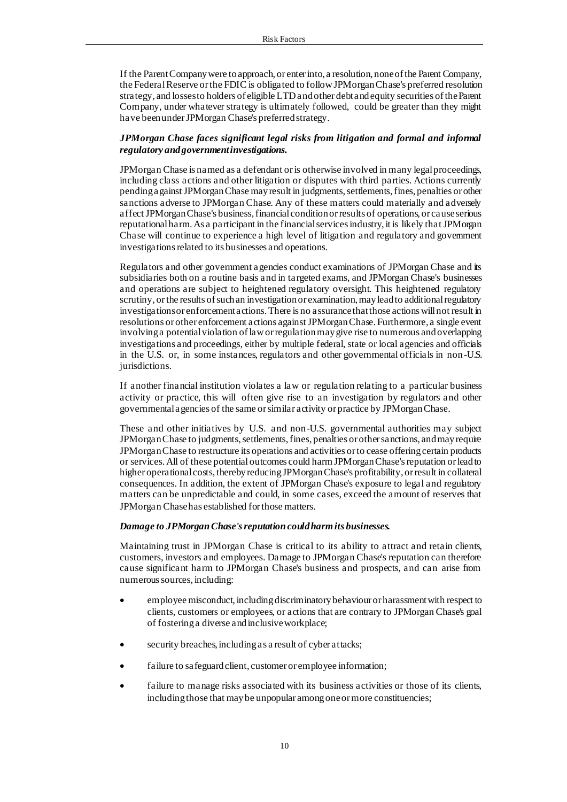If the Parent Company were to approach, or enter into, a resolution, none of the Parent Company, the Federal Reserve or the FDIC is obligated to follow JPMorgan Chase's preferred resolution strategy, and losses to holders of eligible LTD and other debt and equity securities of the Parent Company, under whatever strategy is ultimately followed, could be greater than they might have been under JPMorgan Chase's preferred strategy.

## *JPMorgan Chase faces significant legal risks from litigation and formal and informal regulatory and government investigations.*

JPMorgan Chase is named as a defendant or is otherwise involved in many legal proceedings, including class actions and other litigation or disputes with third parties. Actions currently pending against JPMorgan Chase may result in judgments, settlements, fines, penalties or other sanctions adverse to JPMorgan Chase. Any of these matters could materially and adversely affect JPMorgan Chase's business, financial condition or results of operations, or cause serious reputational harm. As a participant in the financial services industry, it is likely that JPMorgan Chase will continue to experience a high level of litigation and regulatory and government investigations related to its businesses and operations.

Regulators and other government agencies conduct examinations of JPMorgan Chase and its subsidiaries both on a routine basis and in targeted exams, and JPMorgan Chase's businesses and operations are subject to heightened regulatory oversight. This heightened regulatory scrutiny, or the results of such an investigation or examination, may lead to additional regulatory investigations or enforcement actions. There is no assurance that those actions will not result in resolutions or other enforcement actions against JPMorgan Chase. Furthermore, a single event involving a potential violation of law or regulation may give rise to numerous and overlapping investigations and proceedings, either by multiple federal, state or local agencies and officials in the U.S. or, in some instances, regulators and other governmental officials in non-U.S. jurisdictions.

If another financial institution violates a law or regulation relating to a particular business activity or practice, this will often give rise to an investigation by regulators and other governmental agencies of the same or similar activity or practice by JPMorgan Chase.

These and other initiatives by U.S. and non-U.S. governmental authorities may subject JPMorgan Chase to judgments, settlements, fines, penalties or other sanctions, and may require JPMorgan Chase to restructure its operations and activities or to cease offering certain products or services. All of these potential outcomes could harm JPMorgan Chase's reputation or lead to higher operational costs, thereby reducing JPMorgan Chase's profitability, or result in collateral consequences. In addition, the extent of JPMorgan Chase's exposure to legal and regulatory matters can be unpredictable and could, in some cases, exceed the amount of reserves that JPMorgan Chase has established for those matters.

#### *Damage to JPMorgan Chase's reputation could harm its businesses.*

Maintaining trust in JPMorgan Chase is critical to its ability to attract and retain clients, customers, investors and employees. Damage to JPMorgan Chase's reputation can therefore cause significant harm to JPMorgan Chase's business and prospects, and can arise from numerous sources, including:

- employee misconduct, including discriminatory behaviour or harassment with respect to clients, customers or employees, or actions that are contrary to JPMorgan Chase's goal of fostering a diverse and inclusive workplace;
- security breaches, including as a result of cyber attacks;
- failure to safeguard client, customer or employee information;
- failure to manage risks associated with its business activities or those of its clients, including those that may be unpopular among one or more constituencies;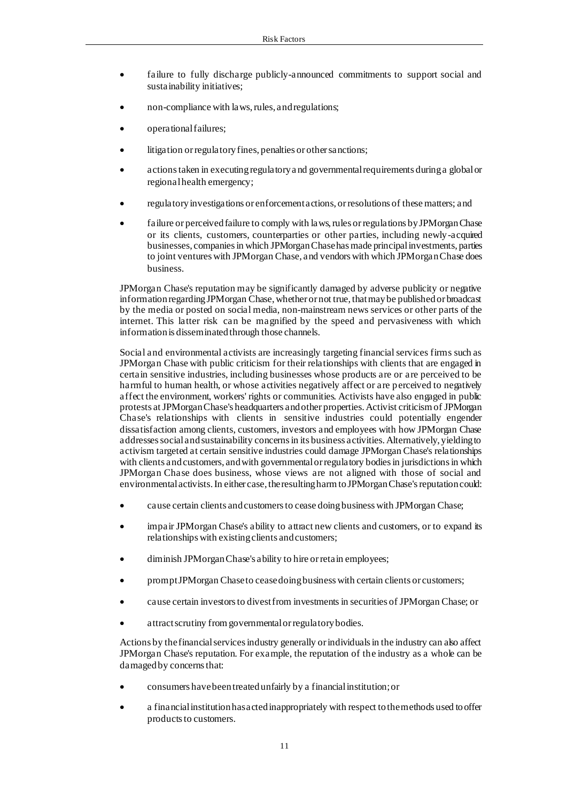- failure to fully discharge publicly-announced commitments to support social and sustainability initiatives;
- non-compliance with laws, rules, and regulations;
- operational failures;
- litigation or regulatory fines, penalties or other sanctions;
- actions taken in executing regulatory a nd governmental requirements during a global or regional health emergency;
- regulatory investigations or enforcement actions, or resolutions of these matters; and
- failure or perceived failure to comply with laws, rules or regulations by JPMorgan Chase or its clients, customers, counterparties or other parties, including newly-acquired businesses, companies in which JPMorgan Chase has made principal investments, parties to joint ventures with JPMorgan Chase, and vendors with which JPMorgan Chase does business.

JPMorgan Chase's reputation may be significantly damaged by adverse publicity or negative information regarding JPMorgan Chase, whether or not true, that may be published or broadcast by the media or posted on social media, non-mainstream news services or other parts of the internet. This latter risk can be magnified by the speed and pervasiveness with which information is disseminated through those channels.

Social and environmental activists are increasingly targeting financial services firms such as JPMorgan Chase with public criticism for their relationships with clients that are engaged in certain sensitive industries, including businesses whose products are or are perceived to be harmful to human health, or whose activities negatively affect or are perceived to negatively affect the environment, workers' rights or communities. Activists have also engaged in public protests at JPMorgan Chase's headquarters and other properties. Activist criticism of JPMorgan Chase's relationships with clients in sensitive industries could potentially engender dissatisfaction among clients, customers, investors and employees with how JPMorgan Chase addresses social and sustainability concerns in its business activities. Alternatively, yielding to activism targeted at certain sensitive industries could damage JPMorgan Chase's relationships with clients and customers, and with governmental or regulatory bodies in jurisdictions in which JPMorgan Chase does business, whose views are not aligned with those of social and environmental activists. In either case, the resulting harm to JPMorgan Chase's reputation could:

- cause certain clients and customers to cease doing business with JPMorgan Chase;
- impair JPMorgan Chase's ability to attract new clients and customers, or to expand its relationships with existing clients and customers;
- diminish JPMorgan Chase's a bility to hire or retain employees;
- prompt JPMorgan Chase to cease doing business with certain clients or customers;
- cause certain investors to divest from investmentsin securities of JPMorgan Chase; or
- attract scrutiny from governmental or regulatory bodies.

Actions by the financial services industry generally or individuals in the industry can also affect JPMorgan Chase's reputation. For example, the reputation of the industry as a whole can be damaged by concerns that:

- consumers have been treated unfairly by a financial institution; or
- a financial institution has acted inappropriately with respect to the methods used to offer products to customers.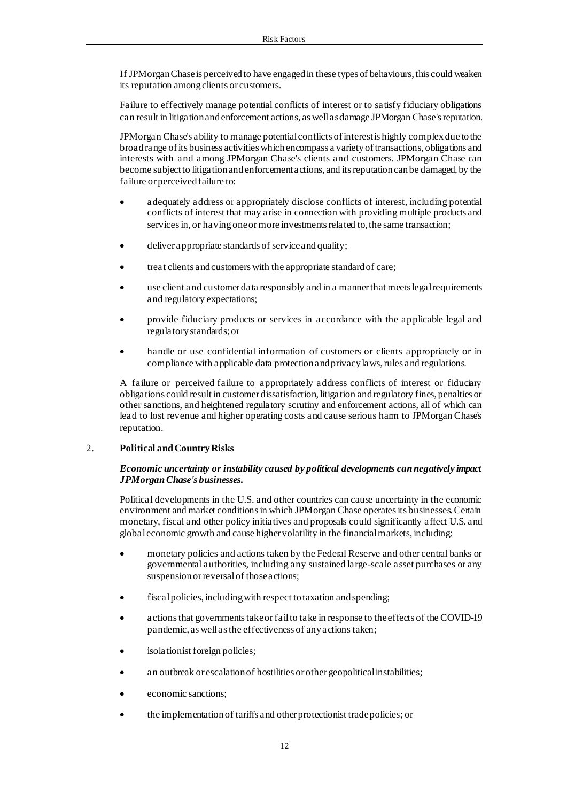If JPMorgan Chase is perceived to have engaged in these types of behaviours, this could weaken its reputation among clients or customers.

Failure to effectively manage potential conflicts of interest or to satisfy fiduciary obligations can result in litigation and enforcement actions, as well as damage JPMorgan Chase's reputation.

JPMorgan Chase's ability to manage potential conflicts of interest is highly complex due to the broad range of its business activities which encompass a variety of transactions, obligations and interests with and among JPMorgan Chase's clients and customers. JPMorgan Chase can become subject to litigation and enforcement actions, and its reputation can be damaged, by the failure or perceived failure to:

- adequately address or appropriately disclose conflicts of interest, including potential conflicts of interest that may arise in connection with providing multiple products and services in, or having one or more investments related to, the same transaction;
- deliver appropriate standards of service and quality;
- treat clients and customers with the appropriate standard of care;
- use client and customer data responsibly and in a manner that meets legal requirements and regulatory expectations;
- provide fiduciary products or services in accordance with the applicable legal and regulatory standards; or
- handle or use confidential information of customers or clients appropriately or in compliance with applicable data protection and privacy laws, rules and regulations.

A failure or perceived failure to appropriately address conflicts of interest or fiduciary obligations could result in customer dissatisfaction, litigation and regulatory fines, penalties or other sanctions, and heightened regulatory scrutiny and enforcement actions, all of which can lead to lost revenue and higher operating costs and cause serious harm to JPMorgan Chase's reputation.

## 2. **Political and Country Risks**

## *Economic uncertainty or instability caused by political developments can negatively impact JPMorgan Chase's businesses.*

Political developments in the U.S. and other countries can cause uncertainty in the economic environment and market conditions in which JPMorgan Chase operates its businesses. Certain monetary, fiscal and other policy initiatives and proposals could significantly affect U.S. and global economic growth and cause higher volatility in the financial markets, including:

- monetary policies and actions taken by the Federal Reserve and other central banks or governmental authorities, including any sustained large-scale asset purchases or any suspension or reversal of those actions;
- fiscal policies, including with respect to taxation and spending;
- actions that governments take or fail to take in response to the effects of the COVID-19 pandemic, as well as the effectiveness of any actions taken;
- isolationist foreign policies;
- an outbreak or escalation of hostilities or other geopolitical instabilities;
- economic sanctions;
- the implementation of tariffs and other protectionist trade policies; or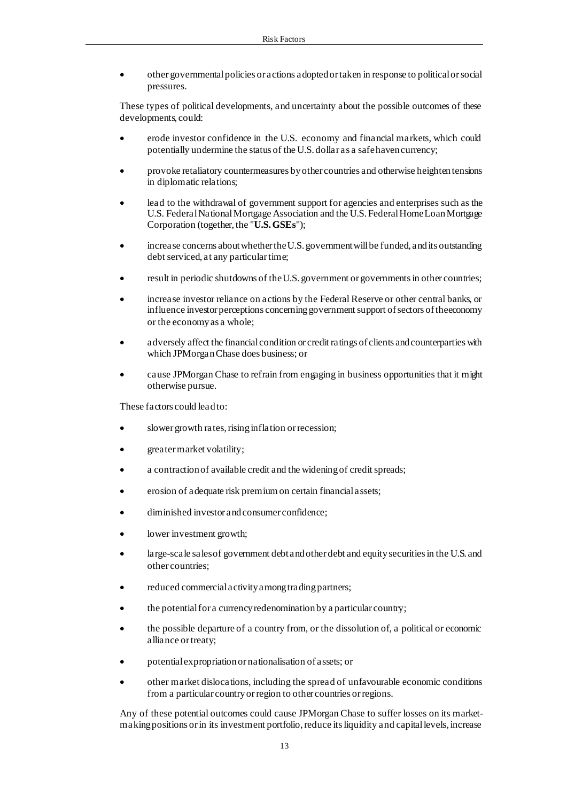• other governmental policies or actions adopted or taken in response to political or social pressures.

These types of political developments, and uncertainty about the possible outcomes of these developments, could:

- erode investor confidence in the U.S. economy and financial markets, which could potentially undermine the status of the U.S. dollar as a safe haven currency;
- provoke retaliatory countermeasures by other countries and otherwise heighten tensions in diplomatic relations;
- lead to the withdrawal of government support for agencies and enterprises such as the U.S. Federal National Mortgage Association and the U.S. Federal Home Loan Mortgage Corporation (together, the "**U.S. GSEs**");
- increase concerns about whether the U.S. government will be funded, and its outstanding debt serviced, at any particular time;
- result in periodic shutdowns of the U.S. government or governments in other countries;
- increase investor reliance on actions by the Federal Reserve or other central banks, or influence investor perceptions concerning government support of sectors of the economy or the economy as a whole;
- adversely affect the financial condition or credit ratings of clients and counterparties with which JPMorgan Chase does business; or
- cause JPMorgan Chase to refrain from engaging in business opportunities that it might otherwise pursue.

These factors could lead to:

- slower growth rates, rising inflation or recession;
- greater market volatility;
- a contraction of available credit and the widening of credit spreads;
- erosion of a dequate risk premium on certain financial assets;
- diminished investor and consumer confidence;
- lower investment growth;
- large-scale sales of government debt and other debt and equity securities in the U.S. and other countries;
- reduced commercial activity among trading partners;
- the potential for a currency redenomination by a particular country;
- the possible departure of a country from, or the dissolution of, a political or economic alliance or treaty;
- potential expropriation or nationalisation of assets; or
- other market dislocations, including the spread of unfavourable economic conditions from a particular country or region to other countries or regions.

Any of these potential outcomes could cause JPMorgan Chase to suffer losses on its marketmaking positions or in its investment portfolio, reduce its liquidity and capital levels, increase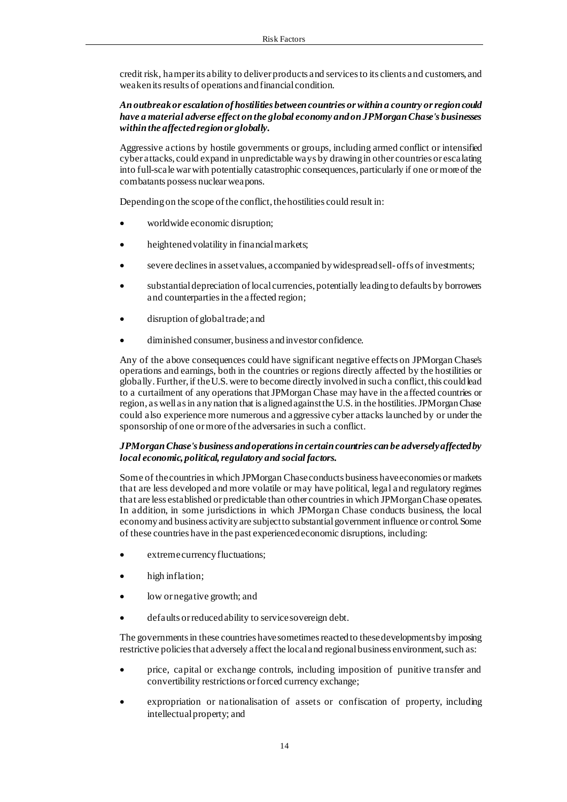credit risk, hamper its ability to deliver products and services to its clients and customers, and weaken its results of operations and financial condition.

## *An outbreak or escalation of hostilities between countries or within a country or region could have a material adverse effect on the global economy and on JPMorgan Chase's businesses within the affected region or globally.*

Aggressive actions by hostile governments or groups, including armed conflict or intensified cyber attacks, could expand in unpredictable ways by drawing in other countries or escalating into full-scale war with potentially catastrophic consequences, particularly if one or more of the combatants possess nuclear weapons.

Depending on the scope of the conflict, the hostilities could result in:

- worldwide economic disruption;
- heightened volatility in financial markets;
- severe declines in asset values, accompanied by widespread sell- offs of investments;
- substantial depreciation of local currencies, potentially leading to defaults by borrowers and counterparties in the affected region;
- disruption of global trade; and
- diminished consumer, business and investor confidence.

Any of the above consequences could have significant negative effects on JPMorgan Chase's operations and earnings, both in the countries or regions directly affected by the hostilities or globally. Further, if the U.S. were to become directly involved in such a conflict, this could lead to a curtailment of any operations that JPMorgan Chase may have in the affected countries or region, as well as in any nation that is aligned against the U.S. in the hostilities. JPMorgan Chase could also experience more numerous and aggressive cyber attacks launched by or under the sponsorship of one or more of the adversaries in such a conflict.

## *JPMorgan Chase's business and operations in certain countries can be adversely affected by local economic, political, regulatory and social factors.*

Some of the countries in which JPMorgan Chase conducts business have economies or markets that are less developed and more volatile or may have political, legal and regulatory regimes that are less established or predictable than other countries in which JPMorgan Chase operates. In addition, in some jurisdictions in which JPMorgan Chase conducts business, the local economy and business activity are subject to substantial government influence or control. Some of these countries have in the past experienced economic disruptions, including:

- extreme currency fluctuations;
- high inflation;
- low or negative growth; and
- defaults or reduced ability to service sovereign debt.

The governments in these countries have sometimes reacted to these developments by imposing restrictive policies that adversely affect the local and regional business environment, such as:

- price, capital or exchange controls, including imposition of punitive transfer and convertibility restrictions or forced currency exchange;
- expropriation or nationalisation of assets or confiscation of property, including intellectual property; and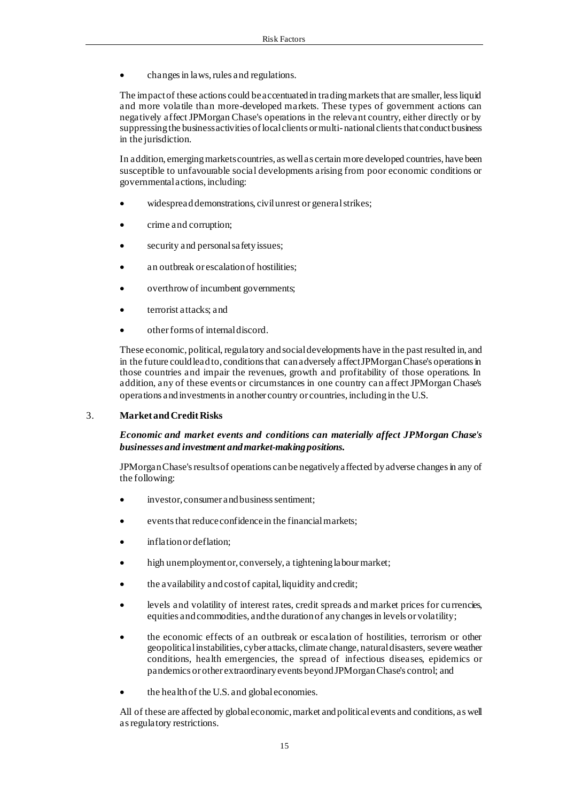• changes in laws, rules and regulations.

The impact of these actions could be accentuated in trading markets that are smaller, less liquid and more volatile than more-developed markets. These types of government actions can negatively affect JPMorgan Chase's operations in the relevant country, either directly or by suppressing the business activities of local clients or multi- national clients that conduct business in the jurisdiction.

In addition, emerging markets countries, as well as certain more developed countries, have been susceptible to unfavourable social developments arising from poor economic conditions or governmental actions, including:

- widespread demonstrations, civil unrest or general strikes;
- crime and corruption;
- security and personal safety issues;
- an outbreak or escalation of hostilities;
- overthrow of incumbent governments;
- terrorist attacks; and
- other forms of internal discord.

These economic, political, regulatory and social developments have in the past resulted in, and in the future could lead to, conditions that can adversely affect JPMorgan Chase's operations in those countries and impair the revenues, growth and profitability of those operations. In addition, any of these events or circumstances in one country can affect JPMorgan Chase's operations and investments in another country or countries, including in the U.S.

#### 3. **Market and Credit Risks**

#### *Economic and market events and conditions can materially affect JPMorgan Chase's businesses and investment and market-making positions.*

JPMorgan Chase's results of operations can be negatively affected by adverse changes in any of the following:

- investor, consumer and business sentiment;
- events that reduce confidence in the financial markets;
- inflation or deflation;
- high unemployment or, conversely, a tightening labour market;
- the availability and cost of capital, liquidity and credit;
- levels and volatility of interest rates, credit spreads and market prices for currencies, equities and commodities, and the duration of any changes in levels or volatility;
- the economic effects of an outbreak or escalation of hostilities, terrorism or other geopolitical instabilities, cyber attacks, climate change, natural disasters, severe weather conditions, health emergencies, the spread of infectious diseases, epidemics or pandemics or other extraordinary events beyond JPMorgan Chase's control; and
- the health of the U.S. and global economies.

All of these are affected by global economic, market and political events and conditions, as well as regulatory restrictions.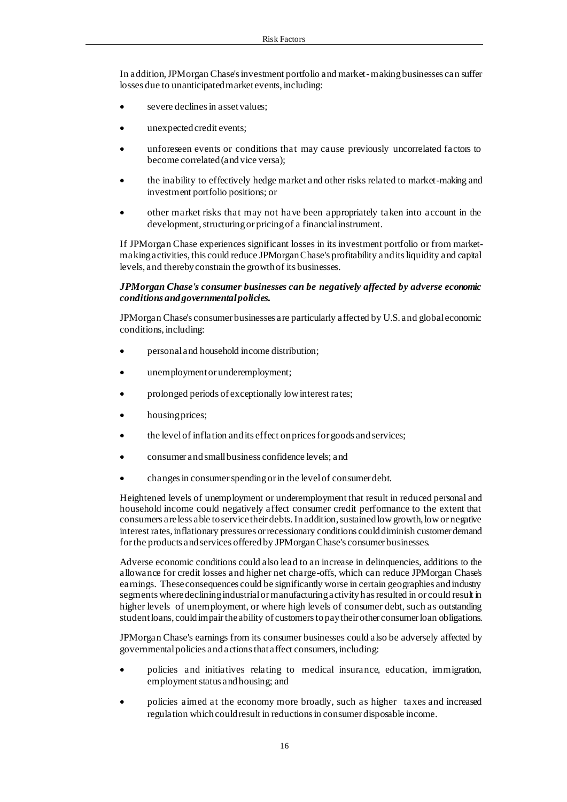In addition, JPMorgan Chase's investment portfolio and market-making businesses can suffer losses due to unanticipated market events, including:

- severe declines in asset values;
- unexpected credit events;
- unforeseen events or conditions that may cause previously uncorrelated factors to become correlated (and vice versa);
- the inability to effectively hedge market and other risks related to market-making and investment portfolio positions; or
- other market risks that may not have been appropriately taken into account in the development, structuring or pricing of a financial instrument.

If JPMorgan Chase experiences significant losses in its investment portfolio or from marketmaking activities, this could reduce JPMorgan Chase's profitability and its liquidity and capital levels, and thereby constrain the growth of its businesses.

#### *JPMorgan Chase's consumer businesses can be negatively affected by adverse economic conditions and governmental policies.*

JPMorgan Chase's consumer businesses are particularly affected by U.S. and global economic conditions, including:

- personal and household income distribution;
- unemployment or underemployment;
- prolonged periods of exceptionally low interest rates;
- housing prices;
- the level of inflation and its effect on prices for goods and services;
- consumer and small business confidence levels; and
- changes in consumer spending or in the level of consumer debt.

Heightened levels of unemployment or underemployment that result in reduced personal and household income could negatively affect consumer credit performance to the extent that consumers are less able to service their debts. In addition, sustained low growth, low or negative interest rates, inflationary pressures or recessionary conditions could diminish customer demand for the products and services offered by JPMorgan Chase's consumer businesses.

Adverse economic conditions could also lead to an increase in delinquencies, additions to the allowance for credit losses and higher net charge-offs, which can reduce JPMorgan Chase's earnings. These consequences could be significantly worse in certain geographies and industry segments where declining industrial or manufacturing activity has resulted in or could result in higher levels of unemployment, or where high levels of consumer debt, such as outstanding student loans, could impair the ability of customers to pay their other consumer loan obligations.

JPMorgan Chase's earnings from its consumer businesses could also be adversely affected by governmental policies and actions that affect consumers, including:

- policies and initiatives relating to medical insurance, education, immigration, employment status and housing; and
- policies aimed at the economy more broadly, such as higher taxes and increased regulation which could result in reductions in consumer disposable income.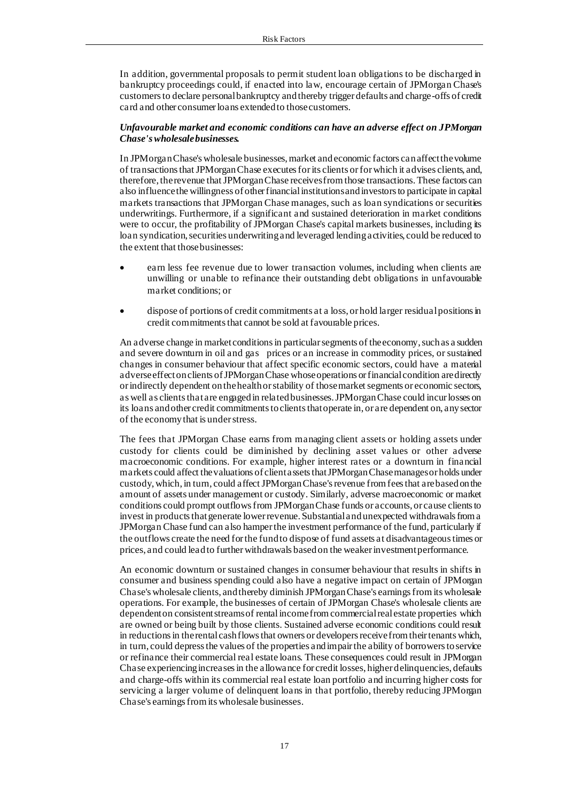In addition, governmental proposals to permit student loan obligations to be discharged in bankruptcy proceedings could, if enacted into law, encourage certain of JPMorgan Chase's customers to declare personal bankruptcy and thereby trigger defaults and charge-offs of credit card and other consumer loans extended to those customers.

#### *Unfavourable market and economic conditions can have an adverse effect on JPMorgan Chase's wholesale businesses.*

In JPMorgan Chase's wholesale businesses, market and economic factors can affect the volume of transactions that JPMorgan Chase executes for its clients or for which it advises clients, and, therefore, the revenue that JPMorgan Chase receives from those transactions. These factors can also influence the willingness of other financial institutions and investors to participate in capital markets transactions that JPMorgan Chase manages, such as loan syndications or securities underwritings. Furthermore, if a significant and sustained deterioration in market conditions were to occur, the profitability of JPMorgan Chase's capital markets businesses, including its loan syndication, securities underwriting and leveraged lending activities, could be reduced to the extent that those businesses:

- earn less fee revenue due to lower transaction volumes, including when clients are unwilling or unable to refinance their outstanding debt obligations in unfavourable market conditions; or
- dispose of portions of credit commitments at a loss, or hold larger residual positions in credit commitments that cannot be sold at favourable prices.

An adverse change in market conditions in particular segments of the economy, such as a sudden and severe downturn in oil and gas prices or an increase in commodity prices, or sustained changes in consumer behaviour that affect specific economic sectors, could have a material adverse effect on clients of JPMorgan Chase whose operations or financial condition are directly or indirectly dependent on the health or stability of those market segments or economic sectors, as well as clients that are engaged in related businesses. JPMorgan Chase could incur losses on its loans and other credit commitments to clients that operate in, or are dependent on, any sector of the economy that is under stress.

The fees that JPMorgan Chase earns from managing client assets or holding assets under custody for clients could be diminished by declining asset values or other adverse macroeconomic conditions. For example, higher interest rates or a downturn in financial markets could affect the valuations of client assets that JPMorgan Chase manages or holds under custody, which, in turn, could affect JPMorgan Chase's revenue from fees that are based on the amount of assets under management or custody. Similarly, adverse macroeconomic or market conditions could prompt outflows from JPMorgan Chase funds or accounts, or cause clients to invest in products that generate lower revenue. Substantial and unexpected withdrawals from a JPMorgan Chase fund can also hamper the investment performance of the fund, particularly if the outflows create the need for the fund to dispose of fund assets at disadvantageous times or prices, and could lead to further withdrawals based on the weaker investment performance.

An economic downturn or sustained changes in consumer behaviour that results in shifts in consumer and business spending could also have a negative impact on certain of JPMorgan Chase's wholesale clients, and thereby diminish JPMorgan Chase's earnings from its wholesale operations. For example, the businesses of certain of JPMorgan Chase's wholesale clients are dependent on consistent streams of rentalincome from commercial real estate properties which are owned or being built by those clients. Sustained adverse economic conditions could result in reductions in the rental cash flows that owners or developers receive from their tenants which, in turn, could depress the values of the properties and impair the ability of borrowers to service or refinance their commercial real estate loans. These consequences could result in JPMorgan Chase experiencing increases in the allowance for credit losses, higher delinquencies, defaults and charge-offs within its commercial real estate loan portfolio and incurring higher costs for servicing a larger volume of delinquent loans in that portfolio, thereby reducing JPMorgan Chase's earnings from its wholesale businesses.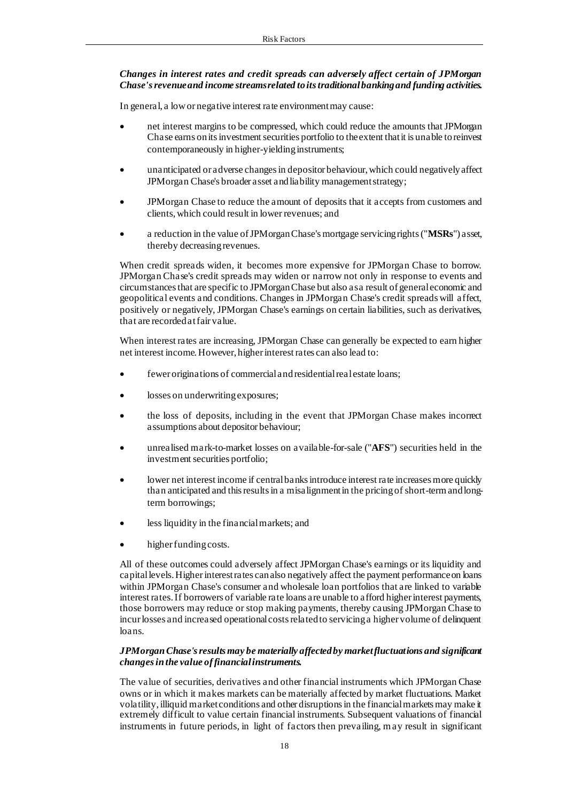## *Changes in interest rates and credit spreads can adversely affect certain of JPMorgan Chase's revenue and income streams related to its traditional banking and funding activities.*

In general, a low or negative interest rate environment may cause:

- net interest margins to be compressed, which could reduce the amounts that JPMorgan Chase earns on its investment securities portfolio to the extent that it is unable to reinvest contemporaneously in higher-yielding instruments;
- unanticipated or adverse changes in depositor behaviour, which could negatively affect JPMorgan Chase's broader asset and liability management strategy;
- JPMorgan Chase to reduce the amount of deposits that it accepts from customers and clients, which could result in lower revenues; and
- a reduction in the value of JPMorgan Chase's mortgage servicing rights ("**MSRs**") asset, thereby decreasing revenues.

When credit spreads widen, it becomes more expensive for JPMorgan Chase to borrow. JPMorgan Chase's credit spreads may widen or narrow not only in response to events and circumstances that are specific to JPMorgan Chase but also as a result of general economic and geopolitical events and conditions. Changes in JPMorgan Chase's credit spreads will affect, positively or negatively, JPMorgan Chase's earnings on certain liabilities, such as derivatives, that are recorded at fair value.

When interest rates are increasing, JPMorgan Chase can generally be expected to earn higher net interest income. However, higher interest rates can also lead to:

- fewer originations of commercial and residential real estate loans;
- losses on underwriting exposures;
- the loss of deposits, including in the event that JPMorgan Chase makes incorrect assumptions about depositor behaviour;
- unrealised mark-to-market losses on available-for-sale ("**AFS**") securities held in the investment securities portfolio;
- lower net interest income if central banks introduce interest rate increases more quickly than anticipated and this results in a misalignment in the pricing of short-term and longterm borrowings;
- less liquidity in the financial markets; and
- higher funding costs.

All of these outcomes could adversely affect JPMorgan Chase's earnings or its liquidity and capital levels. Higher interest rates can also negatively affect the payment performance on loans within JPMorgan Chase's consumer and wholesale loan portfolios that are linked to variable interest rates. If borrowers of variable rate loans are unable to afford higher interest payments, those borrowers may reduce or stop making payments, thereby causing JPMorgan Chase to incur losses and increased operational costs related to servicing a higher volume of delinquent loans.

#### *JPMorgan Chase's results may be materially affected by market fluctuations and significant changes in the value of financial instruments.*

The value of securities, derivatives and other financial instruments which JPMorgan Chase owns or in which it makes markets can be materially affected by market fluctuations. Market volatility, illiquid market conditions and other disruptions in the financial markets may make it extremely difficult to value certain financial instruments. Subsequent valuations of financial instruments in future periods, in light of factors then prevailing, may result in significant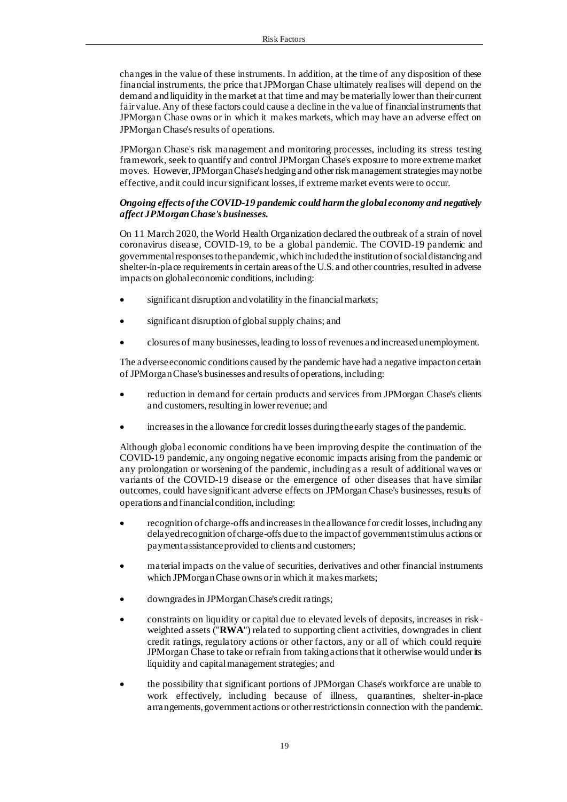changes in the value of these instruments. In addition, at the time of any disposition of these financial instruments, the price that JPMorgan Chase ultimately realises will depend on the demand and liquidity in the market at that time and may be materially lower than their current fair value. Any of these factors could cause a decline in the value of financial instruments that JPMorgan Chase owns or in which it makes markets, which may have an adverse effect on JPMorgan Chase's results of operations.

JPMorgan Chase's risk management and monitoring processes, including its stress testing framework, seek to quantify and control JPMorgan Chase's exposure to more extreme market moves. However, JPMorgan Chase's hedging and other risk management strategies may not be effective, and it could incur significant losses, if extreme market events were to occur.

## *Ongoing effects of the COVID-19 pandemic could harm the global economy and negatively affect JPMorgan Chase's businesses.*

On 11 March 2020, the World Health Organization declared the outbreak of a strain of novel coronavirus disease, COVID-19, to be a global pandemic. The COVID-19 pandemic and governmental responses to the pandemic, which included the institution of social distancing and shelter-in-place requirements in certain areas of the U.S. and other countries, resulted in adverse impacts on global economic conditions, including:

- significant disruption and volatility in the financial markets;
- significant disruption of global supply chains; and
- closures of many businesses, leading to loss of revenues and increased unemployment.

The adverse economic conditions caused by the pandemic have had a negative impact on certain of JPMorgan Chase's businesses and results of operations, including:

- reduction in demand for certain products and services from JPMorgan Chase's clients and customers, resulting in lower revenue; and
- increases in the allowance for credit losses during the early stages of the pandemic.

Although global economic conditions ha ve been improving despite the continuation of the COVID-19 pandemic, any ongoing negative economic impacts arising from the pandemic or any prolongation or worsening of the pandemic, including as a result of additional waves or variants of the COVID-19 disease or the emergence of other diseases that have similar outcomes, could have significant adverse effects on JPMorgan Chase's businesses, results of operations and financial condition, including:

- recognition of charge-offs and increases in the allowance for credit losses, including any delayed recognition of charge-offs due to the impact of government stimulus actions or payment assistance provided to clients and customers;
- material impacts on the value of securities, derivatives and other financial instruments which JPMorgan Chase owns or in which it makes markets;
- downgrades in JPMorgan Chase's credit ratings;
- constraints on liquidity or capital due to elevated levels of deposits, increases in riskweighted assets ("**RWA**") related to supporting client activities, downgrades in client credit ratings, regulatory actions or other factors, any or all of which could require JPMorgan Chase to take or refrain from taking actions that it otherwise would under its liquidity and capital management strategies; and
- the possibility that significant portions of JPMorgan Chase's workforce are unable to work effectively, including because of illness, quarantines, shelter-in-place arrangements, government actions or other restrictions in connection with the pandemic.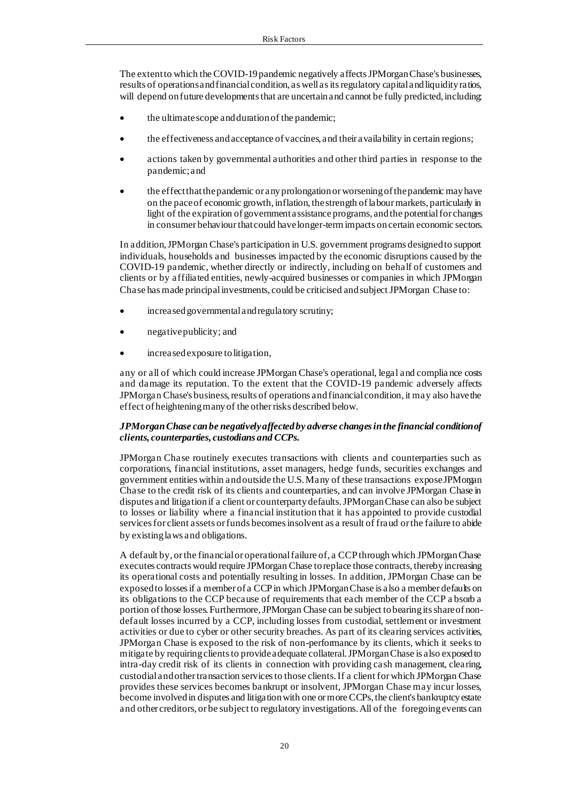The extent to which the COVID-19 pandemic negatively affects JPMorgan Chase's businesses, results of operations and financial condition, as well as its regulatory capital and liquidity ratios, will depend on future developments that are uncertain and cannot be fully predicted, including:

- the ultimate scope and duration of the pandemic;
- the effectiveness and acceptance of vaccines, and their availability in certain regions;
- actions taken by governmental authorities and other third parties in response to the pandemic; and
- the effect that the pandemic or any prolongation or worsening of the pandemic may have on the pace of economic growth, inflation, the strength of labour markets, particularly in light of the expiration of government assistance programs, and the potential for changes in consumer behaviour that could have longer-term impacts on certain economic sectors.

In addition, JPMorgan Chase's participation in U.S. government programs designed to support individuals, households and businesses impacted by the economic disruptions caused by the COVID-19 pandemic, whether directly or indirectly, including on behalf of customers and clients or by affiliated entities, newly-acquired businesses or companies in which JPMorgan Chase has made principal investments, could be criticised and subject JPMorgan Chase to:

- increased governmental and regulatory scrutiny;
- negative publicity; and
- increased exposure to litigation,

any or all of which could increase JPMorgan Chase's operational, legal and complia nce costs and damage its reputation. To the extent that the COVID-19 pandemic adversely affects JPMorgan Chase's business, results of operations and financial condition, it may also have the effect of heightening many of the other risks described below.

## *JPMorgan Chase can be negatively affected by adverse changes in the financial condition of clients, counterparties, custodians and CCPs.*

JPMorgan Chase routinely executes transactions with clients and counterparties such as corporations, financial institutions, asset managers, hedge funds, securities exchanges and government entities within and outside the U.S. Many of these transactions expose JPMorgan Chase to the credit risk of its clients and counterparties, and can involve JPMorgan Chase in disputes and litigation if a client or counterparty defaults. JPMorgan Chase can also be subject to losses or liability where a financial institution that it has appointed to provide custodial services for client assets or funds becomes insolvent as a result of fraud or the failure to abide by existing laws and obligations.

A default by, or the financial or operational failure of, a CCP through which JPMorgan Chase executes contracts would require JPMorgan Chase to replace those contracts, thereby increasing its operational costs and potentially resulting in losses. In addition, JPMorgan Chase can be exposed to losses if a member of a CCP in which JPMorgan Chase is also a member defaults on its obligations to the CCP because of requirements that each member of the CCP a bsorb a portion of those losses. Furthermore, JPMorgan Chase can be subject to bearing its share of nondefault losses incurred by a CCP, including losses from custodial, settlement or investment activities or due to cyber or other security breaches. As part of its clearing services activities, JPMorgan Chase is exposed to the risk of non-performance by its clients, which it seeks to mitigate by requiring clients to provide adequate collateral. JPMorgan Chase is also exposed to intra-day credit risk of its clients in connection with providing cash management, clearing, custodial and other transaction services to those clients. If a client for which JPMorgan Chase provides these services becomes bankrupt or insolvent, JPMorgan Chase may incur losses, become involved in disputes and litigation with one or more CCPs, the client's bankruptcy estate and other creditors, or be subject to regulatory investigations. All of the foregoing events can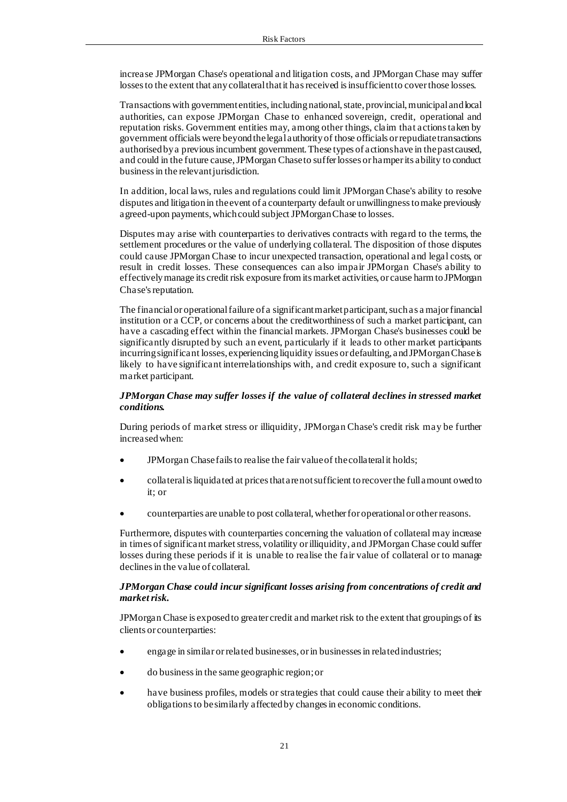increase JPMorgan Chase's operational and litigation costs, and JPMorgan Chase may suffer losses to the extent that any collateral that it has received is insufficient to cover those losses.

Transactions with government entities, including national, state, provincial, municipal and local authorities, can expose JPMorgan Chase to enhanced sovereign, credit, operational and reputation risks. Government entities may, among other things, claim that actions taken by government officials were beyond the legal authority of those officials or repudiate transactions authorised by a previous incumbent government. These types of actions have in the past caused, and could in the future cause, JPMorgan Chase to suffer losses or hamper its ability to conduct business in the relevant jurisdiction.

In addition, local laws, rules and regulations could limit JPMorgan Chase's ability to resolve disputes and litigation in the event of a counterparty default or unwillingness to make previously agreed-upon payments, which could subject JPMorgan Chase to losses.

Disputes may arise with counterparties to derivatives contracts with regard to the terms, the settlement procedures or the value of underlying collateral. The disposition of those disputes could cause JPMorgan Chase to incur unexpected transaction, operational and legal costs, or result in credit losses. These consequences can also impair JPMorgan Chase's ability to effectively manage its credit risk exposure from its market activities, or cause harm to JPMorgan Chase's reputation.

The financial or operational failure of a significant market participant, such as a major financial institution or a CCP, or concerns about the creditworthiness of such a market participant, can have a cascading effect within the financial markets. JPMorgan Chase's businesses could be significantly disrupted by such an event, particularly if it leads to other market participants incurring significant losses, experiencing liquidity issues or defaulting, and JPMorgan Chase is likely to have significant interrelationships with, and credit exposure to, such a significant market participant.

## *JPMorgan Chase may suffer losses if the value of collateral declines in stressed market conditions.*

During periods of market stress or illiquidity, JPMorgan Chase's credit risk may be further increased when:

- JPMorgan Chase fails to realise the fair value of the collateral it holds;
- collateral is liquidated at prices that are not sufficient to recover the full amount owed to it; or
- counterparties are unable to post collateral, whether for operational or other reasons.

Furthermore, disputes with counterparties concerning the valuation of collateral may increase in times of significant market stress, volatility or illiquidity, and JPMorgan Chase could suffer losses during these periods if it is unable to realise the fair value of collateral or to manage declines in the value of collateral.

#### *JPMorgan Chase could incur significant losses arising from concentrations of credit and market risk.*

JPMorgan Chase is exposed to greater credit and market risk to the extent that groupings of its clients or counterparties:

- engage in similar or related businesses, or in businesses in related industries;
- do business in the same geographic region; or
- have business profiles, models or strategies that could cause their ability to meet their obligations to be similarly affected by changes in economic conditions.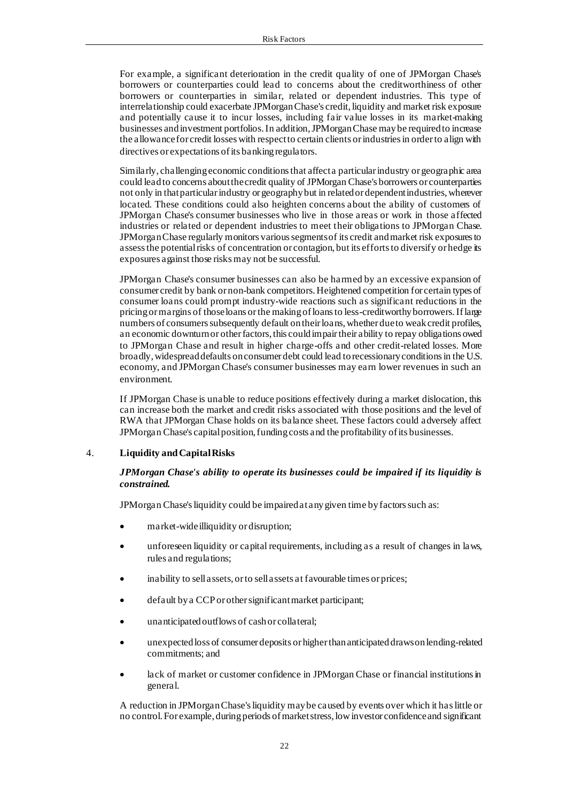For example, a significant deterioration in the credit quality of one of JPMorgan Chase's borrowers or counterparties could lead to concerns about the creditworthiness of other borrowers or counterparties in similar, related or dependent industries. This type of interrelationship could exacerbate JPMorgan Chase's credit, liquidity and market risk exposure and potentially cause it to incur losses, including fair value losses in its market-making businesses and investment portfolios. In addition, JPMorgan Chase may be required to increase the allowance for credit losses with respect to certain clients or industries in order to align with directives or expectations of its banking regulators.

Similarly, challenging economic conditions that affect a particular industry or geographic area could lead to concerns about the credit quality of JPMorgan Chase's borrowers or counterparties not only in that particular industry or geography but in related or dependent industries, wherever located. These conditions could also heighten concerns about the ability of customers of JPMorgan Chase's consumer businesses who live in those areas or work in those affected industries or related or dependent industries to meet their obligations to JPMorgan Chase. JPMorgan Chase regularly monitors various segments of its credit and market risk exposures to assess the potential risks of concentration or contagion, but its efforts to diversify or hedge its exposures against those risks may not be successful.

JPMorgan Chase's consumer businesses can also be harmed by an excessive expansion of consumer credit by bank or non-bank competitors. Heightened competition for certain types of consumer loans could prompt industry-wide reactions such as significant reductions in the pricing or margins of those loans or the making of loans to less-creditworthy borrowers. If large numbers of consumers subsequently default on their loans, whether due to weak credit profiles, an economic downturn or other factors, this could impair their ability to repay obligations owed to JPMorgan Chase and result in higher charge-offs and other credit-related losses. More broadly, widespread defaults on consumer debt could lead to recessionary conditions in the U.S. economy, and JPMorgan Chase's consumer businesses may earn lower revenues in such an environment.

If JPMorgan Chase is unable to reduce positions effectively during a market dislocation, this can increase both the market and credit risks associated with those positions and the level of RWA that JPMorgan Chase holds on its balance sheet. These factors could adversely affect JPMorgan Chase's capital position, funding costs and the profitability of its businesses.

### 4. **Liquidity and Capital Risks**

## *JPMorgan Chase's ability to operate its businesses could be impaired if its liquidity is constrained.*

JPMorgan Chase's liquidity could be impaired at any given time by factors such as:

- market-wide illiquidity or disruption;
- unforeseen liquidity or capital requirements, including as a result of changes in laws, rules and regulations;
- inability to sell assets, or to sell assets at favourable times or prices;
- default by a CCP or other significant market participant;
- unanticipated outflows of cash or collateral;
- unexpected loss of consumer deposits or higher than anticipated draws on lending-related commitments; and
- lack of market or customer confidence in JPMorgan Chase or financial institutions in general.

A reduction in JPMorgan Chase's liquidity may be caused by events over which it has little or no control. For example, during periods of market stress, low investor confidence and significant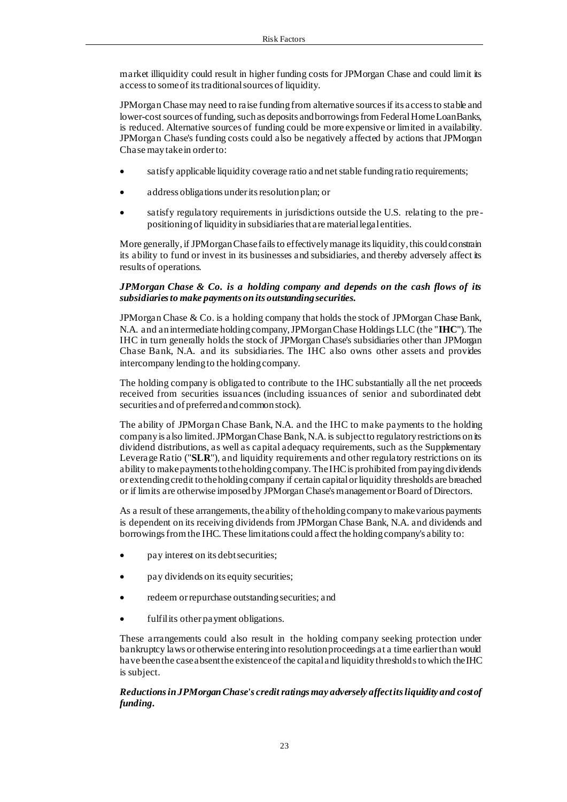market illiquidity could result in higher funding costs for JPMorgan Chase and could limit its access to some of its traditional sources of liquidity.

JPMorgan Chase may need to raise funding from alternative sources if its access to stable and lower-cost sources of funding, such as deposits and borrowings from Federal Home Loan Banks, is reduced. Alternative sources of funding could be more expensive or limited in availability. JPMorgan Chase's funding costs could also be negatively affected by actions that JPMorgan Chase may take in order to:

- satisfy applicable liquidity coverage ratio and net stable funding ratio requirements;
- address obligations under its resolution plan; or
- satisfy regulatory requirements in jurisdictions outside the U.S. relating to the prepositioning of liquidity in subsidiaries that are material legal entities.

More generally, if JPMorgan Chase fails to effectively manage its liquidity, this could constrain its ability to fund or invest in its businesses and subsidiaries, and thereby adversely affect its results of operations.

## *JPMorgan Chase & Co. is a holding company and depends on the cash flows of its subsidiaries to make payments on its outstanding securities.*

JPMorgan Chase & Co. is a holding company that holds the stock of JPMorgan Chase Bank, N.A. and an intermediate holding company, JPMorgan Chase Holdings LLC (the "**IHC**"). The IHC in turn generally holds the stock of JPMorgan Chase's subsidiaries other than JPMorgan Chase Bank, N.A. and its subsidiaries. The IHC also owns other assets and provides intercompany lending to the holding company.

The holding company is obligated to contribute to the IHC substantially all the net proceeds received from securities issuances (including issuances of senior and subordinated debt securities and of preferred and common stock).

The ability of JPMorgan Chase Bank, N.A. and the IHC to make payments to the holding company is also limited. JPMorgan Chase Bank, N.A. is subject to regulatory restrictions on its dividend distributions, as well as capital adequacy requirements, such as the Supplementary Leverage Ratio ("**SLR**"), and liquidity requirements and other regulatory restrictions on its ability to make payments to the holding company. The IHC is prohibited from paying dividends or extending credit to the holding company if certain capital or liquidity thresholds are breached or if limits are otherwise imposed by JPMorgan Chase's management or Board of Directors.

As a result of these arrangements, the ability of the holding company to make various payments is dependent on its receiving dividends from JPMorgan Chase Bank, N.A. and dividends and borrowings from the IHC. These limitations could affect the holding company's ability to:

- pay interest on its debt securities;
- pay dividends on its equity securities;
- redeem or repurchase outstanding securities; and
- fulfil its other payment obligations.

These arrangements could also result in the holding company seeking protection under bankruptcy laws or otherwise entering into resolution proceedings at a time earlier than would have been the case absent the existence of the capital and liquidity thresholds to which the IHC is subject.

## *Reductions in JPMorgan Chase's credit ratings may adversely affect its liquidity and cost of funding.*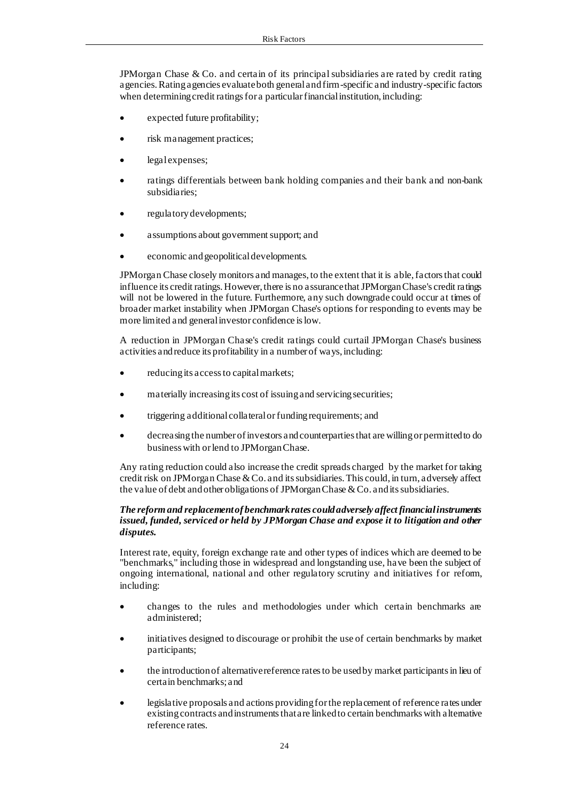JPMorgan Chase & Co. and certain of its principal subsidiaries are rated by credit rating agencies. Rating agencies evaluate both general and firm-specific and industry-specific factors when determining credit ratings for a particular financial institution, including:

- expected future profitability;
- risk management practices;
- legal expenses;
- ratings differentials between bank holding companies and their bank and non-bank subsidiaries;
- regulatory developments;
- assumptions about government support; and
- economic and geopolitical developments.

JPMorgan Chase closely monitors and manages, to the extent that it is able, factors that could influence its credit ratings. However, there is no assurance that JPMorgan Chase's credit ratings will not be lowered in the future. Furthermore, any such downgrade could occur at times of broader market instability when JPMorgan Chase's options for responding to events may be more limited and general investor confidence is low.

A reduction in JPMorgan Chase's credit ratings could curtail JPMorgan Chase's business activities and reduce its profitability in a number of ways, including:

- reducing its access to capital markets;
- materially increasing its cost of issuing and servicing securities;
- triggering additional collateral or funding requirements; and
- decreasing the number of investors and counterparties that are willing or permitted to do business with or lend to JPMorgan Chase.

Any rating reduction could also increase the credit spreads charged by the market for taking credit risk on JPMorgan Chase & Co. and its subsidiaries. This could, in turn, adversely affect the value of debt and other obligations of JPMorgan Chase & Co. and its subsidiaries.

## *The reform and replacement of benchmark rates could adversely affect financial instruments issued, funded, serviced or held by JPMorgan Chase and expose it to litigation and other disputes.*

Interest rate, equity, foreign exchange rate and other types of indices which are deemed to be "benchmarks," including those in widespread and longstanding use, have been the subject of ongoing international, national and other regulatory scrutiny and initiatives for reform, including:

- changes to the rules and methodologies under which certain benchmarks are administered;
- initiatives designed to discourage or prohibit the use of certain benchmarks by market participants;
- the introduction of alternative reference rates to be used by market participants in lieu of certain benchmarks; and
- legislative proposals and actions providing for the replacement of reference rates under existing contracts and instruments that are linked to certain benchmarks with alternative reference rates.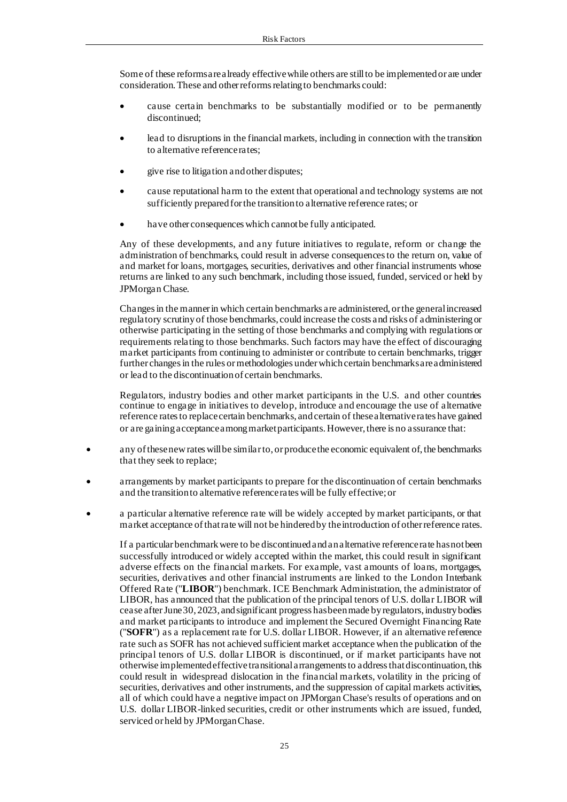Some of these reforms are already effective while others are still to be implemented or are under consideration. These and other reforms relating to benchmarks could:

- cause certain benchmarks to be substantially modified or to be permanently discontinued;
- lead to disruptions in the financial markets, including in connection with the transition to alternative reference rates;
- give rise to litigation and other disputes;
- cause reputational harm to the extent that operational and technology systems are not sufficiently prepared for the transition to alternative reference rates; or
- have other consequences which cannot be fully anticipated.

Any of these developments, and any future initiatives to regulate, reform or change the administration of benchmarks, could result in adverse consequences to the return on, value of and market for loans, mortgages, securities, derivatives and other financial instruments whose returns are linked to any such benchmark, including those issued, funded, serviced or held by JPMorgan Chase.

Changes in the manner in which certain benchmarks are administered, or the general increased regulatory scrutiny of those benchmarks, could increase the costs and risks of administering or otherwise participating in the setting of those benchmarks and complying with regulations or requirements relating to those benchmarks. Such factors may have the effect of discouraging market participants from continuing to administer or contribute to certain benchmarks, trigger further changes in the rules or methodologies under which certain benchmarks are administered or lead to the discontinuation of certain benchmarks.

Regulators, industry bodies and other market participants in the U.S. and other countries continue to engage in initiatives to develop, introduce and encourage the use of alternative reference rates to replace certain benchmarks, and certain of these alternative rates have gained or are gaining acceptance among market participants. However, there is no assurance that:

- any of these new rates will be similar to, or produce the economic equivalent of, the benchmarks that they seek to replace;
- arrangements by market participants to prepare for the discontinuation of certain benchmarks and the transition to alternative reference rates will be fully effective; or
- a particular alternative reference rate will be widely accepted by market participants, or that market acceptance of that rate will not be hindered by the introduction of other reference rates.

If a particular benchmark were to be discontinued and an alternative reference rate has not been successfully introduced or widely accepted within the market, this could result in significant adverse effects on the financial markets. For example, vast amounts of loans, mortgages, securities, derivatives and other financial instruments are linked to the London Interbank Offered Rate ("**LIBOR**") benchmark. ICE Benchmark Administration, the administrator of LIBOR, has announced that the publication of the principal tenors of U.S. dollar LIBOR will cease after June 30, 2023, and significant progress has been made by regulators, industry bodies and market participants to introduce and implement the Secured Overnight Financing Rate ("**SOFR**") as a replacement rate for U.S. dollar LIBOR. However, if an alternative reference rate such as SOFR has not achieved sufficient market acceptance when the publication of the principal tenors of U.S. dollar LIBOR is discontinued, or if market participants have not otherwise implemented effective transitional arrangements to address that discontinuation, this could result in widespread dislocation in the financial markets, volatility in the pricing of securities, derivatives and other instruments, and the suppression of capital markets activities, all of which could have a negative impact on JPMorgan Chase's results of operations and on U.S. dollar LIBOR-linked securities, credit or other instruments which are issued, funded, serviced or held by JPMorgan Chase.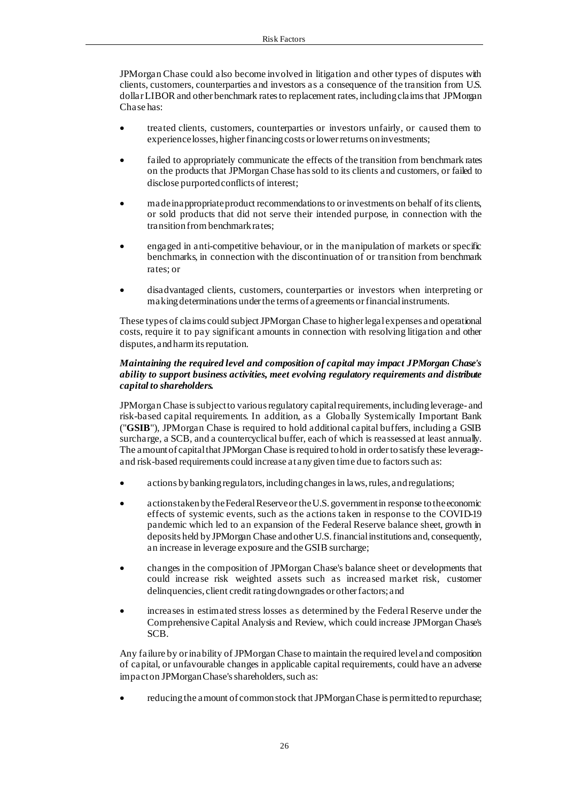JPMorgan Chase could also become involved in litigation and other types of disputes with clients, customers, counterparties and investors as a consequence of the transition from U.S. dollar LIBOR and other benchmark rates to replacement rates, including claims that JPMorgan Chase has:

- treated clients, customers, counterparties or investors unfairly, or caused them to experience losses, higher financing costs or lower returns on investments;
- failed to appropriately communicate the effects of the transition from benchmark rates on the products that JPMorgan Chase has sold to its clients and customers, or failed to disclose purported conflicts of interest;
- made inappropriate product recommendations to or investments on behalf of its clients, or sold products that did not serve their intended purpose, in connection with the transition from benchmark rates;
- engaged in anti-competitive behaviour, or in the manipulation of markets or specific benchmarks, in connection with the discontinuation of or transition from benchmark rates; or
- disadvantaged clients, customers, counterparties or investors when interpreting or making determinations under the terms of agreements or financial instruments.

These types of claims could subject JPMorgan Chase to higher legal expenses and operational costs, require it to pay significant amounts in connection with resolving litigation and other disputes, and harm its reputation.

## *Maintaining the required level and composition of capital may impact JPMorgan Chase's ability to support business activities, meet evolving regulatory requirements and distribute capital to shareholders.*

JPMorgan Chase is subject to various regulatory capital requirements, including leverage- and risk-based capital requirements. In addition, as a Globally Systemically Important Bank ("**GSIB**"), JPMorgan Chase is required to hold additional capital buffers, including a GSIB surcharge, a SCB, and a countercyclical buffer, each of which is reassessed at least annually. The amount of capital that JPMorgan Chase is required to hold in order to satisfy these leverageand risk-based requirements could increase at any given time due to factors such as:

- actions by banking regulators, including changes in laws, rules, and regulations;
- actions taken by the Federal Reserve or the U.S. government in response to the economic effects of systemic events, such as the actions taken in response to the COVID-19 pandemic which led to an expansion of the Federal Reserve balance sheet, growth in deposits held by JPMorgan Chase and other U.S. financial institutions and, consequently, an increase in leverage exposure and the GSIB surcharge;
- changes in the composition of JPMorgan Chase's balance sheet or developments that could increase risk weighted assets such as increased market risk, customer delinquencies, client credit rating downgrades or other factors; and
- increases in estimated stress losses a s determined by the Federal Reserve under the Comprehensive Capital Analysis and Review, which could increase JPMorgan Chase's SCB.

Any failure by or inability of JPMorgan Chase to maintain the required level and composition of capital, or unfavourable changes in applicable capital requirements, could have an adverse impact on JPMorgan Chase's shareholders, such as:

• reducing the amount of common stock that JPMorgan Chase is permitted to repurchase;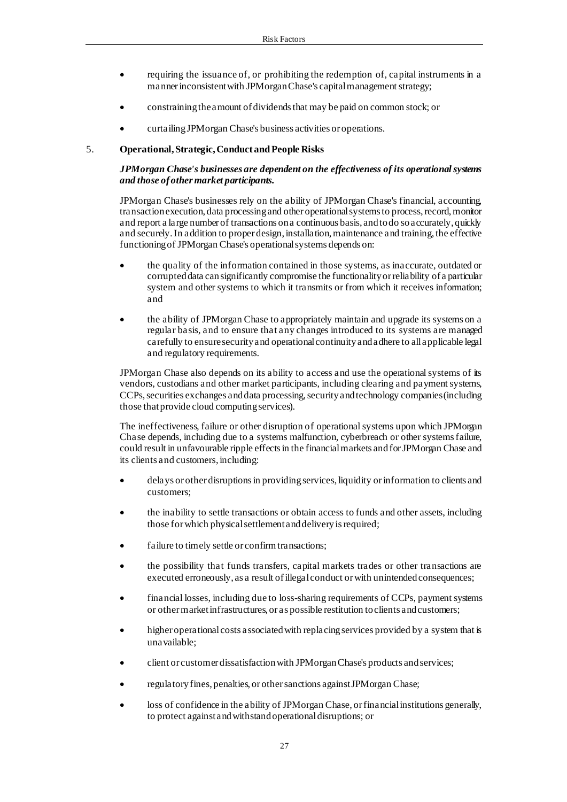- requiring the issuance of, or prohibiting the redemption of, capital instruments in a manner inconsistent with JPMorgan Chase's capital management strategy;
- constraining the amount of dividends that may be paid on common stock; or
- curtailing JPMorgan Chase's business activities or operations.

#### 5. **Operational, Strategic, Conduct and People Risks**

## *JPMorgan Chase's businesses are dependent on the effectiveness of its operational systems and those of other market participants.*

JPMorgan Chase's businesses rely on the ability of JPMorgan Chase's financial, accounting, transaction execution, data processing and other operational systems to process, record, monitor and report a large number of transactions on a continuous basis, and to do so accurately, quickly and securely. In addition to proper design, installation, maintenance and training, the effective functioning of JPMorgan Chase's operational systems depends on:

- the quality of the information contained in those systems, as inaccurate, outdated or corrupted data can significantly compromise the functionality or reliability of a particular system and other systems to which it transmits or from which it receives information; and
- the ability of JPMorgan Chase to appropriately maintain and upgrade its systems on a regular basis, and to ensure that any changes introduced to its systems are managed carefully to ensure security and operational continuity and adhere to all applicable legal and regulatory requirements.

JPMorgan Chase also depends on its ability to access and use the operational systems of its vendors, custodians and other market participants, including clearing and payment systems, CCPs, securities exchanges and data processing, security and technology companies (including those that provide cloud computing services).

The ineffectiveness, failure or other disruption of operational systems upon which JPMorgan Chase depends, including due to a systems malfunction, cyberbreach or other systems failure, could result in unfavourable ripple effects in the financial markets and for JPMorgan Chase and its clients and customers, including:

- delays or other disruptions in providing services, liquidity or information to clients and customers;
- the inability to settle transactions or obtain access to funds and other assets, including those for which physical settlement and delivery is required;
- failure to timely settle or confirm transactions;
- the possibility that funds transfers, capital markets trades or other transactions are executed erroneously, as a result of illegal conduct or with unintended consequences;
- financial losses, including due to loss-sharing requirements of CCPs, payment systems or other market infrastructures, or as possible restitution to clients and customers;
- higher operational costs associated with replacing services provided by a system that is unavailable;
- client or customer dissatisfaction with JPMorgan Chase's products and services;
- regulatory fines, penalties, or other sanctions against JPMorgan Chase;
- loss of confidence in the ability of JPMorgan Chase, or financial institutions generally, to protect against and withstand operational disruptions; or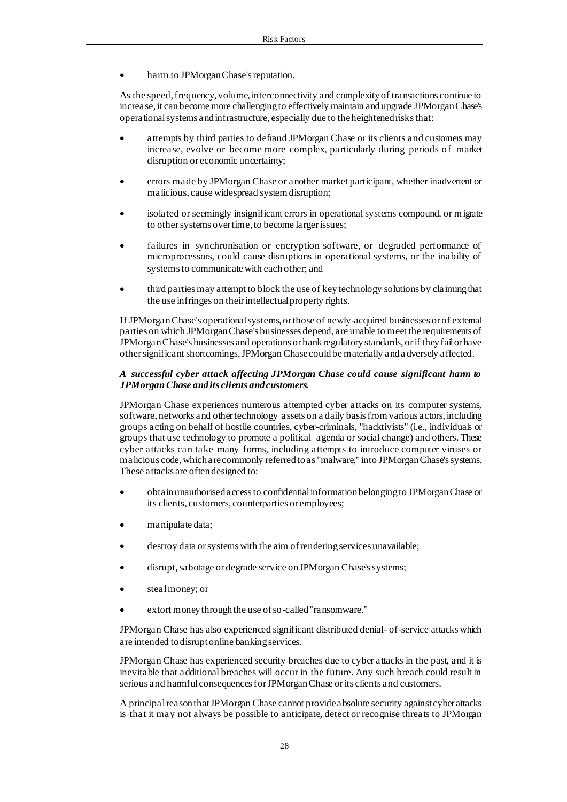harm to JPMorgan Chase's reputation.

As the speed, frequency, volume, interconnectivity and complexity of transactions continue to increase, it can become more challenging to effectively maintain and upgrade JPMorgan Chase's operational systems and infrastructure, especially due to the heightened risks that:

- attempts by third parties to defraud JPMorgan Chase or its clients and customers may increase, evolve or become more complex, particularly during periods of market disruption or economic uncertainty;
- errors made by JPMorgan Chase or another market participant, whether inadvertent or malicious, cause widespread system disruption;
- isolated or seemingly insignificant errors in operational systems compound, or migrate to other systems over time, to become larger issues;
- failures in synchronisation or encryption software, or degraded performance of microprocessors, could cause disruptions in operational systems, or the inability of systems to communicate with each other; and
- third parties may attempt to block the use of key technology solutions by claiming that the use infringes on their intellectual property rights.

If JPMorgan Chase's operational systems, or those of newly-acquired businesses or of external parties on which JPMorgan Chase's businesses depend, are unable to meet the requirements of JPMorgan Chase's businesses and operations or bank regulatory standards, or if they fail or have other significant shortcomings, JPMorgan Chase could be materially and a dversely affected.

## *A successful cyber attack affecting JPMorgan Chase could cause significant harm to JPMorgan Chase and its clients and customers.*

JPMorgan Chase experiences numerous attempted cyber attacks on its computer systems, software, networks and other technology assets on a daily basis from various actors, including groups acting on behalf of hostile countries, cyber-criminals, "hacktivists" (i.e., individuals or groups that use technology to promote a political agenda or social change) and others. These cyber attacks can take many forms, including attempts to introduce computer viruses or malicious code, which are commonly referred to as "malware," into JPMorgan Chase's systems. These attacks are often designed to:

- obtain unauthorised access to confidential information belonging to JPMorgan Chase or its clients, customers, counterparties or employees;
- manipulate data;
- destroy data or systems with the aim of rendering services unavailable;
- disrupt, sabotage or degrade service on JPMorgan Chase's systems;
- steal money; or
- extort money through the use of so-called "ransomware."

JPMorgan Chase has also experienced significant distributed denial- of-service attacks which are intended to disrupt online banking services.

JPMorgan Chase has experienced security breaches due to cyber attacks in the past, and it is inevitable that additional breaches will occur in the future. Any such breach could result in serious and harmful consequences for JPMorgan Chase or its clients and customers.

A principal reason that JPMorgan Chase cannot provide absolute security against cyber attacks is that it may not always be possible to anticipate, detect or recognise threats to JPMorgan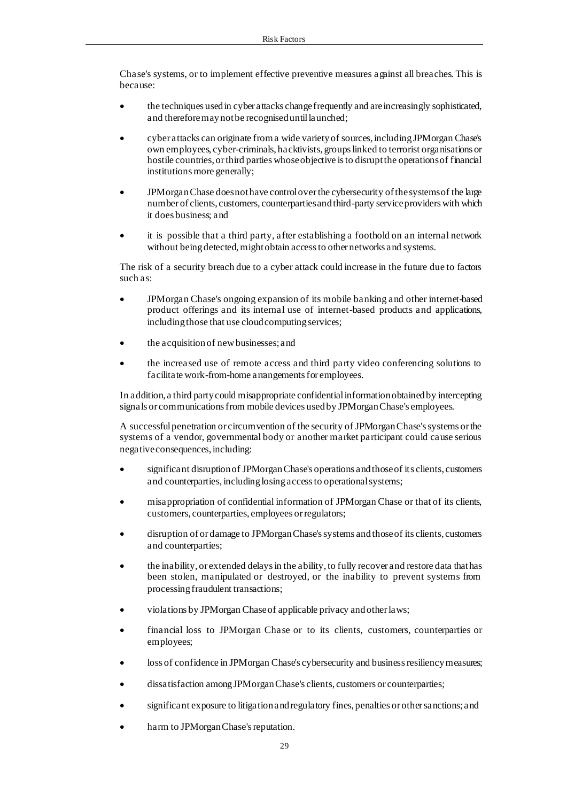Chase's systems, or to implement effective preventive measures against all breaches. This is because:

- the techniques used in cyber attacks change frequently and are increasingly sophisticated, and therefore may not be recognised until launched;
- cyber attacks can originate from a wide variety of sources, including JPMorgan Chase's own employees, cyber-criminals, hacktivists, groups linked to terrorist organisations or hostile countries, or third parties whose objective is to disrupt the operations of financial institutions more generally;
- JPMorgan Chase does not have control over the cybersecurity of the systems of the large number of clients, customers, counterparties and third-party service providers with which it does business; and
- it is possible that a third party, after establishing a foothold on an internal network without being detected, might obtain access to other networks and systems.

The risk of a security breach due to a cyber attack could increase in the future due to factors such as:

- JPMorgan Chase's ongoing expansion of its mobile banking and other internet-based product offerings and its internal use of internet-based products and applications, including those that use cloud computing services;
- the acquisition of new businesses; and
- the increased use of remote access and third party video conferencing solutions to facilitate work-from-home arrangements for employees.

In addition, a third party could misappropriate confidential information obtained by intercepting signals or communications from mobile devices used by JPMorgan Chase's employees.

A successful penetration or circumvention of the security of JPMorgan Chase's systems or the systems of a vendor, governmental body or another market participant could cause serious negative consequences, including:

- significant disruption of JPMorgan Chase's operations and those of its clients, customers and counterparties, including losing access to operational systems;
- misappropriation of confidential information of JPMorgan Chase or that of its clients, customers, counterparties, employees or regulators;
- disruption of or damage to JPMorgan Chase's systems and those of its clients, customers and counterparties;
- the inability, or extended delays in the ability, to fully recover and restore data that has been stolen, manipulated or destroyed, or the inability to prevent systems from processing fraudulent transactions;
- violations by JPMorgan Chase of applicable privacy and other laws;
- financial loss to JPMorgan Chase or to its clients, customers, counterparties or employees;
- loss of confidence in JPMorgan Chase's cybersecurity and business resiliency measures;
- dissatisfaction among JPMorgan Chase's clients, customers or counterparties;
- significant exposure to litigation and regulatory fines, penalties or other sanctions; and
- harm to JPMorgan Chase's reputation.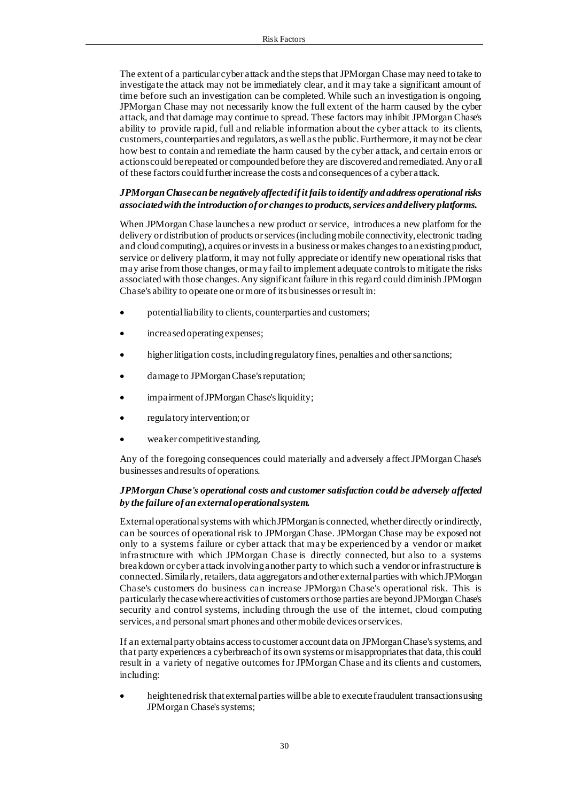The extent of a particular cyber attack and the steps that JPMorgan Chase may need to take to investigate the attack may not be immediately clear, and it may take a significant amount of time before such an investigation can be completed. While such an investigation is ongoing, JPMorgan Chase may not necessarily know the full extent of the harm caused by the cyber attack, and that damage may continue to spread. These factors may inhibit JPMorgan Chase's ability to provide rapid, full and reliable information about the cyber attack to its clients, customers, counterparties and regulators, as well as the public. Furthermore, it may not be clear how best to contain and remediate the harm caused by the cyber attack, and certain errors or actions could be repeated or compounded before they are discovered and remediated. Any or all of these factors could further increase the costs and consequences of a cyber attack.

## *JPMorgan Chase can be negatively affected if it fails to identify and address operational risks associated with the introduction of or changes to products, services and delivery platforms.*

When JPMorgan Chase launches a new product or service, introduces a new platform for the delivery or distribution of products or services (including mobile connectivity, electronic trading and cloud computing), acquires or invests in a business or makes changes to an existing product, service or delivery platform, it may not fully appreciate or identify new operational risks that may arise from those changes, or may fail to implement adequate controls to mitigate the risks associated with those changes. Any significant failure in this regard could diminish JPMorgan Chase's ability to operate one or more of its businesses or result in:

- potential liability to clients, counterparties and customers;
- increased operating expenses;
- higher litigation costs, including regulatory fines, penalties and other sanctions;
- damage to JPMorgan Chase's reputation;
- impairment of JPMorgan Chase's liquidity;
- regulatory intervention; or
- weaker competitive standing.

Any of the foregoing consequences could materially and adversely affect JPMorgan Chase's businesses and results of operations.

## *JPMorgan Chase's operational costs and customer satisfaction could be adversely affected by the failure of an external operational system.*

External operational systems with which JPMorgan is connected, whether directly or indirectly, can be sources of operational risk to JPMorgan Chase. JPMorgan Chase may be exposed not only to a systems failure or cyber attack that may be experienced by a vendor or market infrastructure with which JPMorgan Chase is directly connected, but also to a systems breakdown or cyber attack involving another party to which such a vendor or infrastructure is connected. Similarly, retailers, data aggregators and other external parties with which JPMorgan Chase's customers do business can increase JPMorgan Chase's operational risk. This is particularly the case where activities of customers or those parties are beyond JPMorgan Chase's security and control systems, including through the use of the internet, cloud computing services, and personal smart phones and other mobile devices or services.

If an external party obtains access to customer account data on JPMorgan Chase's systems, and that party experiences a cyberbreach of its own systems or misappropriates that data, this could result in a variety of negative outcomes for JPMorgan Chase and its clients and customers, including:

• heightened risk that external parties will be able to execute fraudulent transactions using JPMorgan Chase's systems;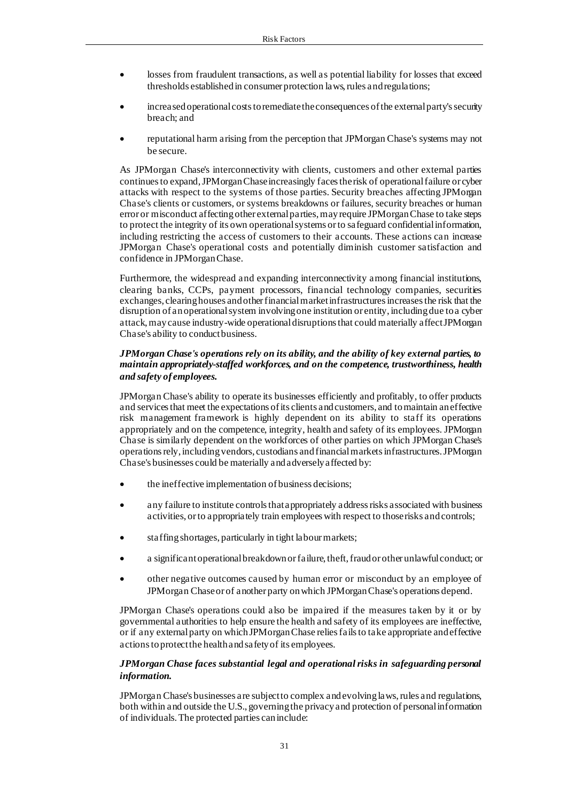- losses from fraudulent transactions, as well as potential liability for losses that exceed thresholds established in consumer protection laws, rules and regulations;
- increased operational costs to remediate the consequences of the external party's security breach; and
- reputational harm arising from the perception that JPMorgan Chase's systems may not be secure.

As JPMorgan Chase's interconnectivity with clients, customers and other external parties continues to expand, JPMorgan Chase increasingly faces the risk of operational failure or cyber attacks with respect to the systems of those parties. Security breaches affecting JPMorgan Chase's clients or customers, or systems breakdowns or failures, security breaches or human error or misconduct affecting other external parties, may require JPMorgan Chase to take steps to protect the integrity of its own operational systems or to safeguard confidential information, including restricting the access of customers to their accounts. These actions can increase JPMorgan Chase's operational costs and potentially diminish customer satisfaction and confidence in JPMorgan Chase.

Furthermore, the widespread and expanding interconnectivity among financial institutions, clearing banks, CCPs, payment processors, financial technology companies, securities exchanges, clearing houses and other financial market infrastructures increases the risk that the disruption of an operational system involving one institution or entity, including due to a cyber attack, may cause industry-wide operational disruptions that could materially affect JPMorgan Chase's ability to conduct business.

#### *JPMorgan Chase's operations rely on its ability, and the ability of key external parties, to maintain appropriately-staffed workforces, and on the competence, trustworthiness, health and safety of employees.*

JPMorgan Chase's ability to operate its businesses efficiently and profitably, to offer products and services that meet the expectations of its clients and customers, and to maintain an effective risk management framework is highly dependent on its ability to staff its operations appropriately and on the competence, integrity, health and safety of its employees. JPMorgan Chase is similarly dependent on the workforces of other parties on which JPMorgan Chase's operations rely, including vendors, custodians and financial markets infrastructures. JPMorgan Chase's businesses could be materially and adversely affected by:

- the ineffective implementation of business decisions;
- any failure to institute controls that appropriately address risks associated with business activities, or to appropriately train employees with respect to those risks and controls;
- staffing shortages, particularly in tight labour markets;
- a significant operational breakdown or failure, theft, fraud or other unlawful conduct; or
- other negative outcomes caused by human error or misconduct by an employee of JPMorgan Chase or of another party on which JPMorgan Chase's operations depend.

JPMorgan Chase's operations could also be impaired if the measures taken by it or by governmental authorities to help ensure the health and safety of its employees are ineffective, or if any external party on which JPMorgan Chase relies fails to take appropriate and effective actions to protect the health and safety of its employees.

## *JPMorgan Chase faces substantial legal and operational risks in safeguarding personal information.*

JPMorgan Chase's businesses are subject to complex and evolving laws, rules and regulations, both within and outside the U.S., governing the privacy and protection of personal information of individuals. The protected parties can include: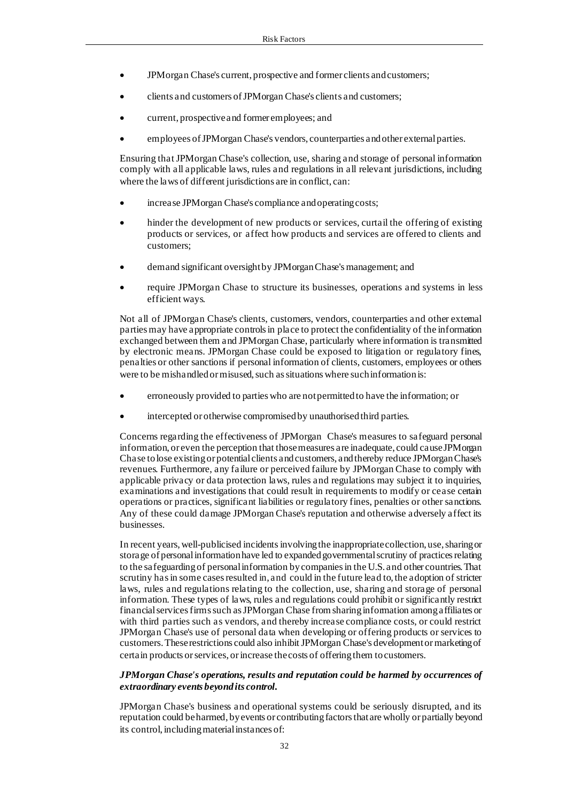- JPMorgan Chase's current, prospective and former clients and customers;
- clients and customers of JPMorgan Chase's clients and customers;
- current, prospective and former employees; and
- employees of JPMorgan Chase's vendors, counterparties and other external parties.

Ensuring that JPMorgan Chase's collection, use, sharing and storage of personal information comply with all applicable laws, rules and regulations in all relevant jurisdictions, including where the laws of different jurisdictions are in conflict, can:

- increase JPMorgan Chase's compliance and operating costs;
- hinder the development of new products or services, curtail the offering of existing products or services, or affect how products and services are offered to clients and customers;
- demand significant oversight by JPMorgan Chase's management; and
- require JPMorgan Chase to structure its businesses, operations and systems in less efficient ways.

Not all of JPMorgan Chase's clients, customers, vendors, counterparties and other external parties may have appropriate controls in place to protect the confidentiality of the information exchanged between them and JPMorgan Chase, particularly where information is transmitted by electronic means. JPMorgan Chase could be exposed to litigation or regulatory fines, penalties or other sanctions if personal information of clients, customers, employees or others were to be mishandled or misused, such as situations where such information is:

- erroneously provided to parties who are not permitted to have the information; or
- intercepted or otherwise compromised by unauthorised third parties.

Concerns regarding the effectiveness of JPMorgan Chase's measures to safeguard personal information, or even the perception that those measures are inadequate, could cause JPMorgan Chase to lose existing or potential clients and customers, and thereby reduce JPMorgan Chase's revenues. Furthermore, any failure or perceived failure by JPMorgan Chase to comply with applicable privacy or data protection laws, rules and regulations may subject it to inquiries, examinations and investigations that could result in requirements to modify or cease certain operations or practices, significant liabilities or regulatory fines, penalties or other sanctions. Any of these could damage JPMorgan Chase's reputation and otherwise adversely affect its businesses.

In recent years, well-publicised incidents involving the inappropriate collection, use, sharing or storage of personal information have led to expanded governmental scrutiny of practices relating to the safeguarding of personal information by companies in the U.S. and other countries. That scrutiny has in some cases resulted in, and could in the future lead to, the adoption of stricter laws, rules and regulations relating to the collection, use, sharing and storage of personal information. These types of laws, rules and regulations could prohibit or significantly restrict financial services firms such as JPMorgan Chase from sharing information among affiliates or with third parties such as vendors, and thereby increase compliance costs, or could restrict JPMorgan Chase's use of personal data when developing or offering products or services to customers. These restrictions could also inhibit JPMorgan Chase's development or marketing of certain products or services, or increase the costs of offering them to customers.

#### *JPMorgan Chase's operations, results and reputation could be harmed by occurrences of extraordinary events beyond its control.*

JPMorgan Chase's business and operational systems could be seriously disrupted, and its reputation could be harmed, by events or contributing factors that are wholly or partially beyond its control, including material instances of: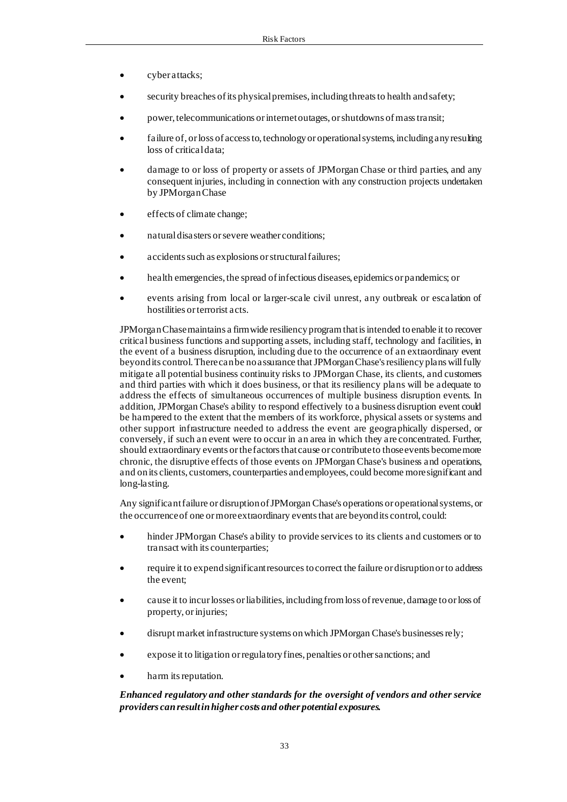- cyber attacks;
- security breaches of its physical premises, including threats to health and safety;
- power, telecommunications or internet outages, or shutdowns of mass transit;
- failure of, or loss of access to, technology or operational systems, including any resulting loss of critical data;
- damage to or loss of property or assets of JPMorgan Chase or third parties, and any consequent injuries, including in connection with any construction projects undertaken by JPMorgan Chase
- effects of climate change;
- natural disasters or severe weather conditions;
- accidents such as explosions or structural failures;
- health emergencies, the spread of infectious diseases, epidemics or pandemics; or
- events arising from local or larger-scale civil unrest, any outbreak or escalation of hostilities or terrorist acts.

JPMorgan Chase maintains a firmwide resiliency program that is intended to enable it to recover critical business functions and supporting assets, including staff, technology and facilities, in the event of a business disruption, including due to the occurrence of an extraordinary event beyond its control. There can be no assurance that JPMorgan Chase's resiliency plans will fully mitigate all potential business continuity risks to JPMorgan Chase, its clients, and customers and third parties with which it does business, or that its resiliency plans will be adequate to address the effects of simultaneous occurrences of multiple business disruption events. In addition, JPMorgan Chase's ability to respond effectively to a business disruption event could be hampered to the extent that the members of its workforce, physical assets or systems and other support infrastructure needed to address the event are geographically dispersed, or conversely, if such an event were to occur in an area in which they are concentrated. Further, should extraordinary events or the factors that cause or contribute to those events become more chronic, the disruptive effects of those events on JPMorgan Chase's business and operations, and on its clients, customers, counterparties and employees, could become more significant and long-lasting.

Any significant failure or disruption of JPMorgan Chase's operations or operational systems, or the occurrence of one or more extraordinary events that are beyond its control, could:

- hinder JPMorgan Chase's ability to provide services to its clients and customers or to transact with its counterparties;
- require it to expend significant resources to correct the failure or disruption or to address the event;
- cause it to incur losses or liabilities, including from loss of revenue, damage to or loss of property, or injuries;
- disrupt market infrastructure systems on which JPMorgan Chase's businesses rely;
- expose it to litigation or regulatory fines, penalties or other sanctions; and
- harm its reputation.

## *Enhanced regulatory and other standards for the oversight of vendors and other service providers can result in higher costs and other potential exposures.*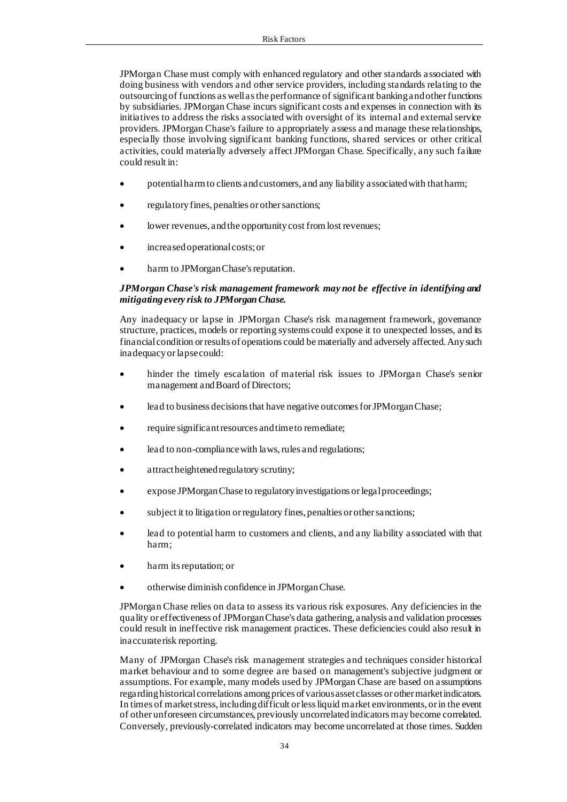JPMorgan Chase must comply with enhanced regulatory and other standards associated with doing business with vendors and other service providers, including standards relating to the outsourcing of functions as well as the performance of significant banking and other functions by subsidiaries. JPMorgan Chase incurs significant costs and expenses in connection with its initiatives to address the risks associated with oversight of its internal and external service providers. JPMorgan Chase's failure to appropriately assess and manage these relationships, especially those involving significant banking functions, shared services or other critical activities, could materially adversely affect JPMorgan Chase. Specifically, any such failure could result in:

- potential harm to clients and customers, and any liability associated with that harm;
- regulatory fines, penalties or other sanctions;
- lower revenues, and the opportunity cost from lost revenues;
- increased operational costs; or
- harm to JPMorgan Chase's reputation.

## *JPMorgan Chase's risk management framework may not be effective in identifying and mitigating every risk to JPMorgan Chase.*

Any inadequacy or lapse in JPMorgan Chase's risk management framework, governance structure, practices, models or reporting systems could expose it to unexpected losses, and its financial condition or results of operations could be materially and adversely affected. Any such inadequacy or lapse could:

- hinder the timely escalation of material risk issues to JPMorgan Chase's senior management and Board of Directors;
- lead to business decisions that have negative outcomes for JPMorgan Chase;
- require significant resources and time to remediate;
- lead to non-compliance with laws, rules and regulations;
- attract heightened regulatory scrutiny;
- expose JPMorgan Chase to regulatory investigations or legal proceedings;
- subject it to litigation or regulatory fines, penalties or other sanctions;
- lead to potential harm to customers and clients, and any liability associated with that harm;
- harm its reputation; or
- otherwise diminish confidence in JPMorgan Chase.

JPMorgan Chase relies on data to assess its various risk exposures. Any deficiencies in the quality or effectiveness of JPMorgan Chase's data gathering, analysis and validation processes could result in ineffective risk management practices. These deficiencies could also result in inaccurate risk reporting.

Many of JPMorgan Chase's risk management strategies and techniques consider historical market behaviour and to some degree are based on management's subjective judgment or assumptions. For example, many models used by JPMorgan Chase are based on assumptions regarding historical correlations among prices of various asset classes or other market indicators. In times of market stress, including difficult or less liquid market environments, or in the event of other unforeseen circumstances, previously uncorrelated indicators may become correlated. Conversely, previously-correlated indicators may become uncorrelated at those times. Sudden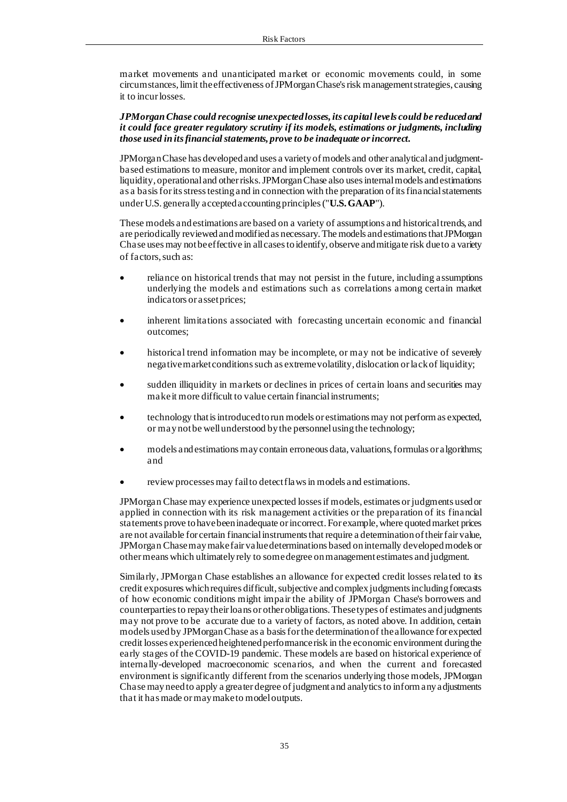market movements and unanticipated market or economic movements could, in some circumstances, limit the effectiveness of JPMorgan Chase's risk management strategies, causing it to incur losses.

#### *JPMorgan Chase could recognise unexpected losses, its capital levels could be reduced and it could face greater regulatory scrutiny if its models, estimations or judgments, including those used in its financial statements, prove to be inadequate or incorrect.*

JPMorgan Chase has developed and uses a variety of models and other analytical and judgmentbased estimations to measure, monitor and implement controls over its market, credit, capital, liquidity, operational and other risks. JPMorgan Chase also uses internal models and estimations as a basis for its stress testing and in connection with the preparation of its financial statements under U.S. generally accepted accounting principles ("**U.S. GAAP**").

These models and estimations are based on a variety of assumptions and historical trends, and are periodically reviewed and modified as necessary. The models and estimations that JPMorgan Chase uses may not be effective in all cases to identify, observe and mitigate risk due to a variety of factors, such as:

- reliance on historical trends that may not persist in the future, including assumptions underlying the models and estimations such as correlations among certain market indicators or asset prices;
- inherent limitations associated with forecasting uncertain economic and financial outcomes;
- historical trend information may be incomplete, or may not be indicative of severely negative market conditions such as extreme volatility, dislocation or lack of liquidity;
- sudden illiquidity in markets or declines in prices of certain loans and securities may make it more difficult to value certain financial instruments;
- technology that is introduced to run models or estimations may not perform as expected, or may not be well understood by the personnel using the technology;
- models and estimations may contain erroneous data, valuations, formulas or algorithms; and
- review processes may fail to detect flaws in models and estimations.

JPMorgan Chase may experience unexpected losses if models, estimates or judgments used or applied in connection with its risk management activities or the preparation of its financial statements prove to have been inadequate or incorrect. For example, where quoted market prices are not available for certain financial instruments that require a determination of their fair value, JPMorgan Chase may make fair value determinations based on internally developed models or other means which ultimately rely to some degree on management estimates and judgment.

Similarly, JPMorgan Chase establishes an allowance for expected credit losses related to its credit exposures which requires difficult, subjective and complex judgments including forecasts of how economic conditions might impair the ability of JPMorgan Chase's borrowers and counterparties to repay their loans or other obligations. These types of estimates and judgments may not prove to be accurate due to a variety of factors, as noted above. In addition, certain models used by JPMorgan Chase as a basis for the determination of the allowance for expected credit losses experienced heightened performance risk in the economic environment during the early stages of the COVID-19 pandemic. These models are based on historical experience of internally-developed macroeconomic scenarios, and when the current and forecasted environment is significantly different from the scenarios underlying those models, JPMorgan Chase may need to apply a greater degree of judgment and analytics to inform any adjustments that it has made or may make to model outputs.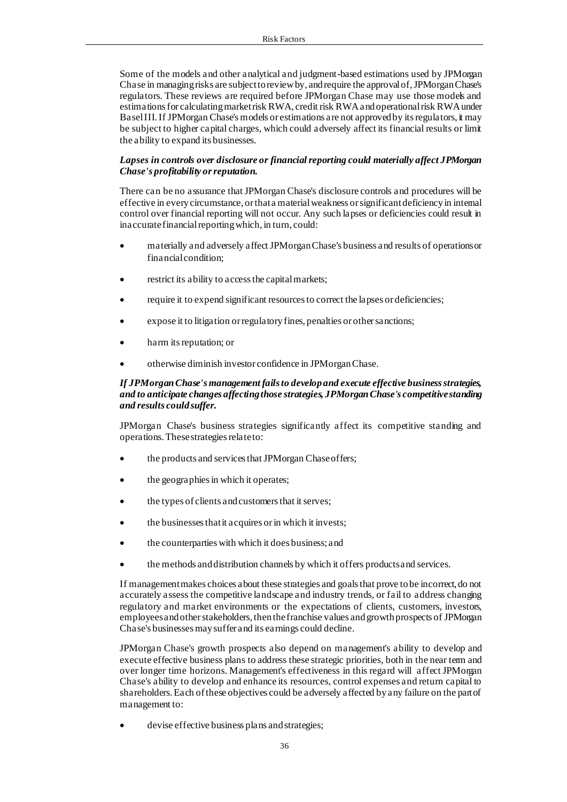Some of the models and other analytical and judgment-based estimations used by JPMorgan Chase in managing risks are subject to review by, and require the approval of, JPMorgan Chase's regulators. These reviews are required before JPMorgan Chase may use those models and estimations for calculating market risk RWA, credit risk RWA and operational risk RWA under Basel III. If JPMorgan Chase's models or estimations are not approved by its regulators, it may be subject to higher capital charges, which could adversely affect its financial results or limit the ability to expand its businesses.

## *Lapses in controls over disclosure or financial reporting could materially affect JPMorgan Chase's profitability or reputation.*

There can be no assurance that JPMorgan Chase's disclosure controls and procedures will be effective in every circumstance, or that a material weakness or significant deficiency in internal control over financial reporting will not occur. Any such lapses or deficiencies could result in inaccurate financial reporting which, in turn, could:

- materially and adversely affect JPMorgan Chase's business and results of operations or financial condition;
- restrict its ability to access the capital markets;
- require it to expend significant resources to correct the lapses or deficiencies;
- expose it to litigation or regulatory fines, penalties or other sanctions;
- harm its reputation; or
- otherwise diminish investor confidence in JPMorgan Chase.

## *If JPMorgan Chase's management fails to develop and execute effective business strategies, and to anticipate changes affecting those strategies, JPMorgan Chase's competitive standing and results could suffer.*

JPMorgan Chase's business strategies significantly affect its competitive standing and operations. These strategies relate to:

- the products and services that JPMorgan Chase offers;
- the geographies in which it operates;
- the types of clients and customers that it serves;
- the businesses that it acquires or in which it invests;
- the counterparties with which it does business; and
- the methods and distribution channels by which it offers products and services.

If management makes choices about these strategies and goals that prove to be incorrect, do not accurately assess the competitive landscape and industry trends, or fail to address changing regulatory and market environments or the expectations of clients, customers, investors, employees and other stakeholders, then the franchise values and growth prospects of JPMorgan Chase's businesses may suffer and its earnings could decline.

JPMorgan Chase's growth prospects also depend on management's ability to develop and execute effective business plans to address these strategic priorities, both in the near term and over longer time horizons. Management's effectiveness in this regard will affect JPMorgan Chase's ability to develop and enhance its resources, control expenses and return capital to shareholders. Each of these objectives could be adversely affected by any failure on the part of management to:

devise effective business plans and strategies;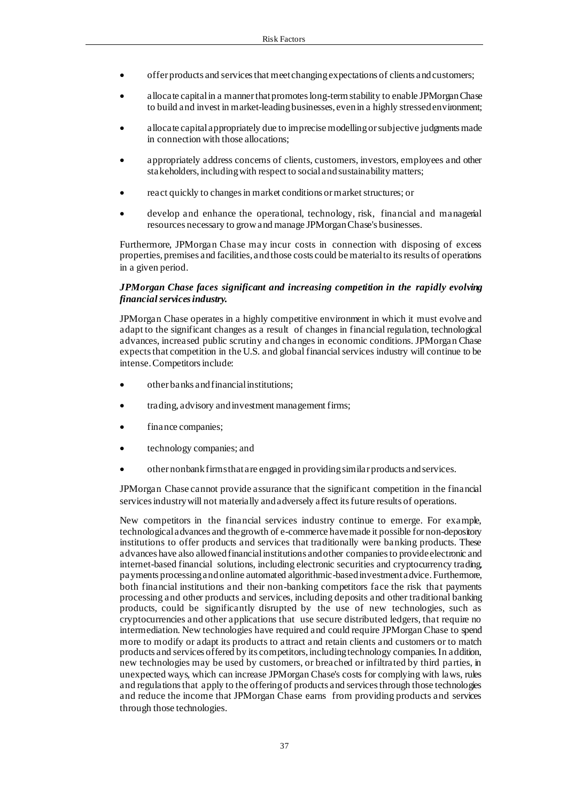- offer products and services that meet changing expectations of clients and customers;
- allocate capital in a manner that promotes long-term stability to enable JPMorgan Chase to build and invest in market-leading businesses, even in a highly stressed environment;
- allocate capital appropriately due to imprecise modelling or subjective judgments made in connection with those allocations;
- appropriately address concerns of clients, customers, investors, employees and other stakeholders, including with respect to social and sustainability matters;
- react quickly to changes in market conditions or market structures; or
- develop and enhance the operational, technology, risk, financial and managerial resources necessary to grow and manage JPMorgan Chase's businesses.

Furthermore, JPMorgan Chase may incur costs in connection with disposing of excess properties, premises and facilities, and those costs could be material to its results of operations in a given period.

#### *JPMorgan Chase faces significant and increasing competition in the rapidly evolving financial services industry.*

JPMorgan Chase operates in a highly competitive environment in which it must evolve and adapt to the significant changes as a result of changes in financial regulation, technological advances, increased public scrutiny and changes in economic conditions. JPMorgan Chase expects that competition in the U.S. and global financial services industry will continue to be intense. Competitors include:

- other banks and financial institutions;
- trading, advisory and investment management firms;
- finance companies;
- technology companies; and
- other nonbank firms that are engaged in providing similar products and services.

JPMorgan Chase cannot provide assurance that the significant competition in the financial services industry will not materially and adversely affect its future results of operations.

New competitors in the financial services industry continue to emerge. For example, technological advances and the growth of e-commerce have made it possible for non-depository institutions to offer products and services that traditionally were banking products. These advances have also allowed financial institutions and other companies to provide electronic and internet-based financial solutions, including electronic securities and cryptocurrency trading, payments processing and online automated algorithmic-based investment advice. Furthermore, both financial institutions and their non-banking competitors face the risk that payments processing and other products and services, including deposits and other traditional banking products, could be significantly disrupted by the use of new technologies, such as cryptocurrencies and other applications that use secure distributed ledgers, that require no intermediation. New technologies have required and could require JPMorgan Chase to spend more to modify or adapt its products to attract and retain clients and customers or to match products and services offered by its competitors, including technology companies. In addition, new technologies may be used by customers, or breached or infiltrated by third parties, in unexpected ways, which can increase JPMorgan Chase's costs for complying with laws, rules and regulations that apply to the offering of products and services through those technologies and reduce the income that JPMorgan Chase earns from providing products and services through those technologies.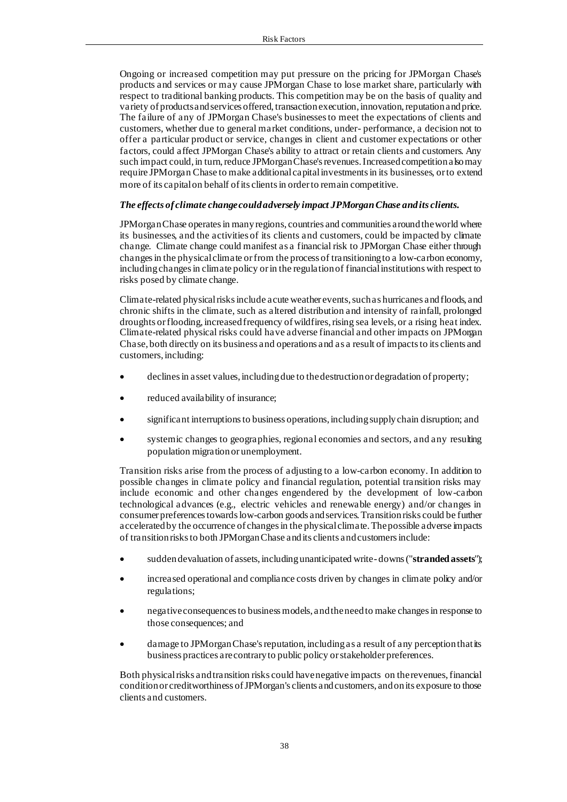Ongoing or increased competition may put pressure on the pricing for JPMorgan Chase's products and services or may cause JPMorgan Chase to lose market share, particularly with respect to traditional banking products. This competition may be on the basis of quality and variety of products and services offered, transaction execution, innovation, reputation and price. The failure of any of JPMorgan Chase's businesses to meet the expectations of clients and customers, whether due to general market conditions, under- performance, a decision not to offer a particular product or service, changes in client and customer expectations or other factors, could affect JPMorgan Chase's ability to attract or retain clients and customers. Any such impact could, in turn, reduce JPMorgan Chase's revenues. Increased competition also may require JPMorgan Chase to make additional capital investments in its businesses, or to extend more of its capital on behalf of its clients in order to remain competitive.

## *The effects of climate change could adversely impact JPMorgan Chase and its clients.*

JPMorgan Chase operates in many regions, countries and communities around the world where its businesses, and the activities of its clients and customers, could be impacted by climate change. Climate change could manifest as a financial risk to JPMorgan Chase either through changes in the physical climate or from the process of transitioning to a low-carbon economy, including changes in climate policy or in the regulation of financial institutions with respect to risks posed by climate change.

Climate-related physical risks include acute weather events, such as hurricanes and floods, and chronic shifts in the climate, such as altered distribution and intensity of rainfall, prolonged droughts or flooding, increased frequency of wildfires, rising sea levels, or a rising heat index. Climate-related physical risks could have adverse financial and other impacts on JPMorgan Chase, both directly on its business and operations and as a result of impacts to its clients and customers, including:

- declines in asset values, including due to the destruction or degradation of property;
- reduced availability of insurance;
- significant interruptions to business operations, including supply chain disruption; and
- systemic changes to geographies, regional economies and sectors, and any resulting population migration or unemployment.

Transition risks arise from the process of adjusting to a low-carbon economy. In addition to possible changes in climate policy and financial regulation, potential transition risks may include economic and other changes engendered by the development of low-carbon technological advances (e.g., electric vehicles and renewable energy) and/or changes in consumer preferences towards low-carbon goods and services. Transition risks could be further accelerated by the occurrence of changes in the physical climate. The possible adverse impacts of transition risks to both JPMorgan Chase and its clients and customers include:

- sudden devaluation of assets, including unanticipated write- downs ("**stranded assets**");
- increased operational and compliance costs driven by changes in climate policy and/or regulations;
- negative consequences to business models, and the need to make changes in response to those consequences; and
- damage to JPMorgan Chase's reputation, including as a result of any perception that its business practices are contrary to public policy or stakeholder preferences.

Both physical risks and transition risks could have negative impacts on the revenues, financial condition or creditworthiness of JPMorgan's clients and customers, and on its exposure to those clients and customers.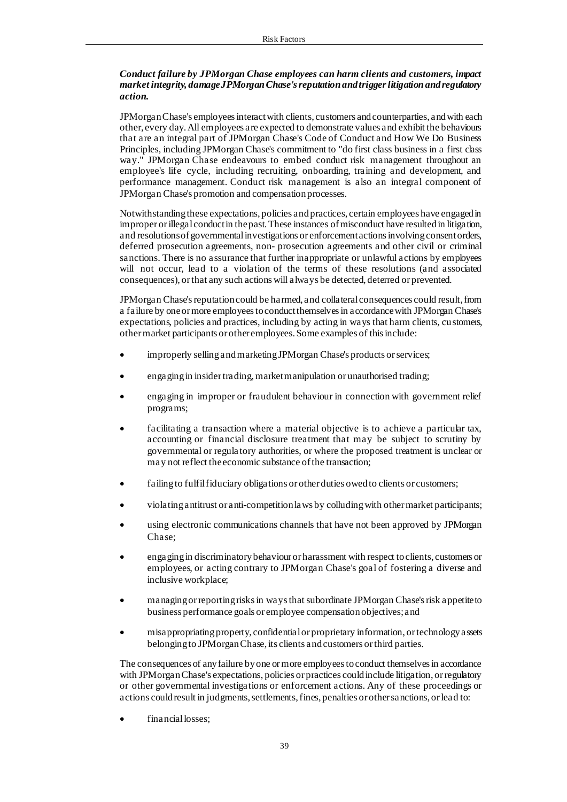## *Conduct failure by JPMorgan Chase employees can harm clients and customers, impact market integrity, damage JPMorgan Chase's reputation and trigger litigation and regulatory action.*

JPMorgan Chase's employees interact with clients, customers and counterparties, and with each other, every day. All employees are expected to demonstrate values and exhibit the behaviours that are an integral part of JPMorgan Chase's Code of Conduct and How We Do Business Principles, including JPMorgan Chase's commitment to "do first class business in a first class way." JPMorgan Chase endeavours to embed conduct risk management throughout an employee's life cycle, including recruiting, onboarding, training and development, and performance management. Conduct risk management is also an integral component of JPMorgan Chase's promotion and compensation processes.

Notwithstanding these expectations, policies and practices, certain employees have engaged in improper or illegal conduct in the past. These instances of misconduct have resulted in litigation, and resolutions of governmental investigations or enforcement actions involving consent orders, deferred prosecution agreements, non- prosecution agreements and other civil or criminal sanctions. There is no assurance that further inappropriate or unlawful actions by employees will not occur, lead to a violation of the terms of these resolutions (and associated consequences), or that any such actions will always be detected, deterred or prevented.

JPMorgan Chase'sreputation could be harmed, and collateral consequences could result, from a failure by one or more employees to conduct themselves in accordance with JPMorgan Chase's expectations, policies and practices, including by acting in ways that harm clients, customers, other market participants or other employees. Some examples of this include:

- improperly selling and marketing JPMorgan Chase's products or services;
- engaging in insider trading, market manipulation or unauthorised trading;
- engaging in improper or fraudulent behaviour in connection with government relief programs;
- facilitating a transaction where a material objective is to achieve a particular tax, accounting or financial disclosure treatment that may be subject to scrutiny by governmental or regula tory authorities, or where the proposed treatment is unclear or may not reflect the economic substance of the transaction;
- failing to fulfil fiduciary obligations or other duties owed to clients or customers;
- violating antitrust or anti-competition laws by colluding with other market participants;
- using electronic communications channels that have not been approved by JPMorgan Chase;
- engaging in discriminatory behaviour or harassment with respect to clients, customers or employees, or acting contrary to JPMorgan Chase's goal of fostering a diverse and inclusive workplace;
- managing or reporting risks in ways that subordinate JPMorgan Chase's risk appetite to business performance goals or employee compensation objectives; and
- misappropriating property, confidential or proprietary information, or technology assets belonging to JPMorgan Chase, its clients and customers or third parties.

The consequences of any failure by one or more employees to conduct themselves in accordance with JPMorgan Chase's expectations, policies or practices could include litigation, or regulatory or other governmental investigations or enforcement actions. Any of these proceedings or actions could result in judgments, settlements, fines, penalties or other sanctions, or lead to:

financial losses: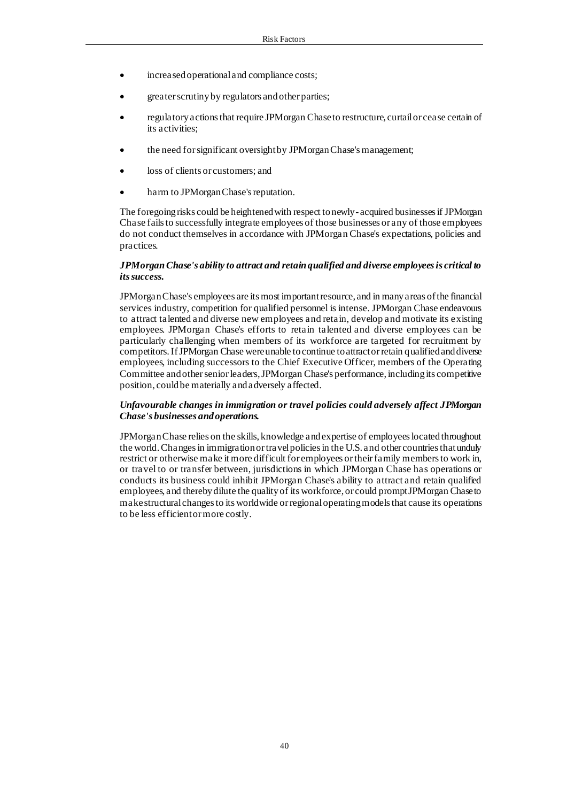- increased operational and compliance costs;
- greater scrutiny by regulators and other parties;
- regulatory actions that require JPMorgan Chase to restructure, curtail or cease certain of its activities;
- the need for significant oversight by JPMorgan Chase's management;
- loss of clients or customers; and
- harm to JPMorgan Chase's reputation.

The foregoing risks could be heightened with respect to newly- acquired businesses if JPMorgan Chase fails to successfully integrate employees of those businesses or any of those employees do not conduct themselves in accordance with JPMorgan Chase's expectations, policies and practices.

### *JPMorgan Chase's ability to attract and retain qualified and diverse employees is critical to its success.*

JPMorgan Chase's employees are its most important resource, and in many areas of the financial services industry, competition for qualified personnel is intense. JPMorgan Chase endeavours to attract talented and diverse new employees and retain, develop and motivate its existing employees. JPMorgan Chase's efforts to retain talented and diverse employees can be particularly challenging when members of its workforce are targeted for recruitment by competitors. If JPMorgan Chase were unable to continue to attract or retain qualified and diverse employees, including successors to the Chief Executive Officer, members of the Operating Committee and other senior leaders, JPMorgan Chase's performance, including its competitive position, could be materially and adversely affected.

#### *Unfavourable changes in immigration or travel policies could adversely affect JPMorgan Chase's businesses and operations.*

JPMorgan Chase relies on the skills, knowledge and expertise of employees located throughout the world. Changes in immigration or travel policies in the U.S. and other countries that unduly restrict or otherwise make it more difficult for employees or their family members to work in, or travel to or transfer between, jurisdictions in which JPMorgan Chase has operations or conducts its business could inhibit JPMorgan Chase's ability to attract and retain qualified employees, and thereby dilute the quality of its workforce, or could prompt JPMorgan Chase to make structural changes to its worldwide or regional operating models that cause its operations to be less efficient or more costly.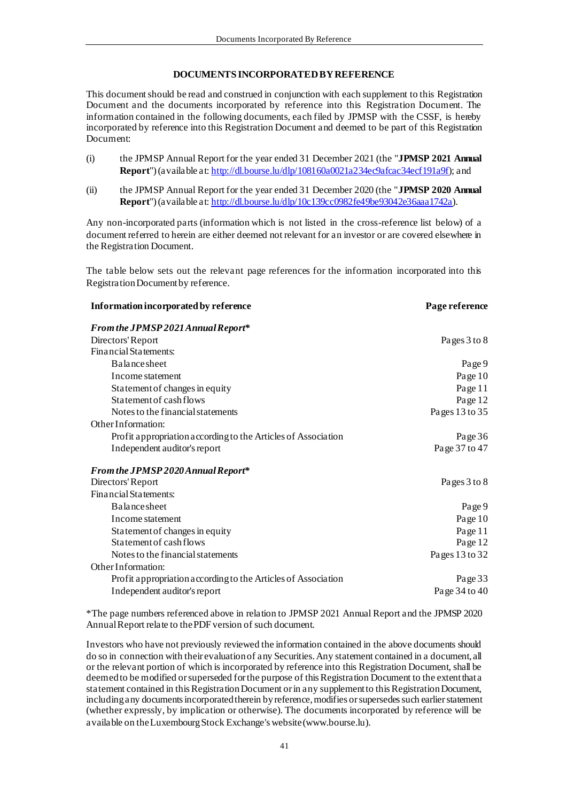## **DOCUMENTS INCORPORATED BY REFERENCE**

This document should be read and construed in conjunction with each supplement to this Registration Document and the documents incorporated by reference into this Registration Document. The information contained in the following documents, each filed by JPMSP with the CSSF, is hereby incorporated by reference into this Registration Document and deemed to be part of this Registration Document:

- (i) the JPMSP Annual Report for the year ended 31 December 2021 (the "**JPMSP 2021 Annual Report**") (available at: <http://dl.bourse.lu/dlp/108160a0021a234ec9afcac34ecf191a9f>); and
- (ii) the JPMSP Annual Report for the year ended 31 December 2020 (the "**JPMSP 2020 Annual Report**") (available at[: http://dl.bourse.lu/dlp/10c139cc0982fe49be93042e36aaa1742a](http://dl.bourse.lu/dlp/10c139cc0982fe49be93042e36aaa1742a)).

Any non-incorporated parts (information which is not listed in the cross-reference list below) of a document referred to herein are either deemed not relevant for an investor or are covered elsewhere in the Registration Document.

The table below sets out the relevant page references for the information incorporated into this Registration Document by reference.

| Information incorporated by reference                         | Page reference |
|---------------------------------------------------------------|----------------|
| From the JPMSP 2021 Annual Report*                            |                |
| Directors' Report                                             | Pages 3 to 8   |
| Financial Statements:                                         |                |
| <b>Balance</b> sheet                                          | Page 9         |
| Income statement                                              | Page 10        |
| Statement of changes in equity                                | Page 11        |
| Statement of cash flows                                       | Page 12        |
| Notes to the financial statements                             | Pages 13 to 35 |
| Other Information:                                            |                |
| Profit appropriation according to the Articles of Association | Page 36        |
| Independent auditor's report                                  | Page 37 to 47  |
| From the JPMSP 2020 Annual Report*                            |                |
| Directors' Report                                             | Pages 3 to 8   |
| Financial Statements:                                         |                |
| <b>Balance</b> sheet                                          | Page 9         |
| Income statement                                              | Page 10        |
| Statement of changes in equity                                | Page 11        |
| Statement of cash flows                                       | Page 12        |
| Notes to the financial statements                             | Pages 13 to 32 |
| Other Information:                                            |                |
| Profit appropriation according to the Articles of Association | Page 33        |
| Independent auditor's report                                  | Page 34 to 40  |

\*The page numbers referenced above in relation to JPMSP 2021 Annual Report and the JPMSP 2020 Annual Report relate to the PDF version of such document.

Investors who have not previously reviewed the information contained in the above documents should do so in connection with their evaluation of any Securities. Any statement contained in a document, all or the relevant portion of which is incorporated by reference into this Registration Document, shall be deemed to be modified or superseded for the purpose of this Registration Document to the extent that a statement contained in this Registration Document or in any supplement to this Registration Document, including any documents incorporated therein by reference, modifies or supersedes such earlier statement (whether expressly, by implication or otherwise). The documents incorporated by reference will be available on the Luxembourg Stock Exchange's website (www.bourse.lu).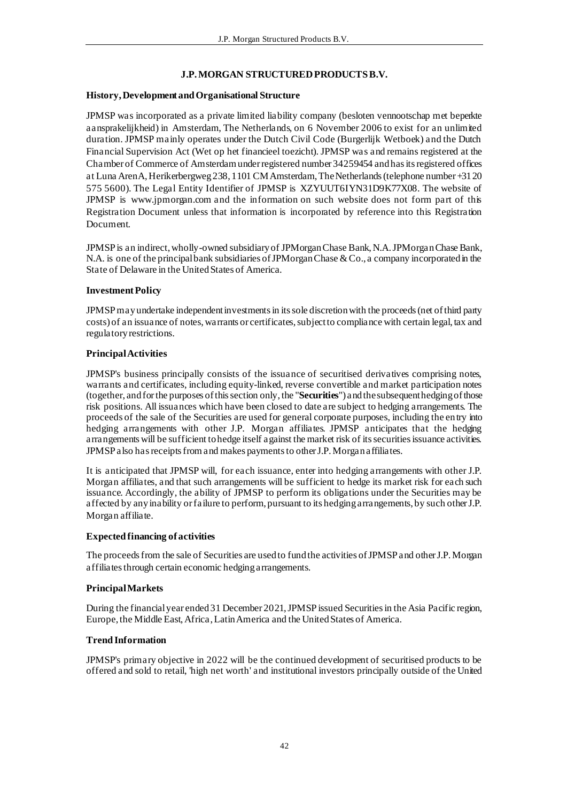## **J.P. MORGAN STRUCTURED PRODUCTS B.V.**

## **History, Development and Organisational Structure**

JPMSP was incorporated as a private limited liability company (besloten vennootschap met beperkte aansprakelijkheid) in Amsterdam, The Netherlands, on 6 November 2006 to exist for an unlimited duration. JPMSP mainly operates under the Dutch Civil Code (Burgerlijk Wetboek) and the Dutch Financial Supervision Act (Wet op het financieel toezicht). JPMSP was and remains registered at the Chamber of Commerce of Amsterdam under registered number 34259454 and has its registered offices at Luna ArenA, Herikerbergweg 238, 1101 CM Amsterdam, The Netherlands (telephone number +31 20 575 5600). The Legal Entity Identifier of JPMSP is XZYUUT6IYN31D9K77X08. The website of JPMSP is www.jpmorgan.com and the information on such website does not form part of this Registration Document unless that information is incorporated by reference into this Registration Document.

JPMSP is an indirect, wholly-owned subsidiary of JPMorgan Chase Bank, N.A. JPMorgan Chase Bank, N.A. is one of the principal bank subsidiaries of JPMorgan Chase & Co., a company incorporated in the State of Delaware in the United States of America.

## **Investment Policy**

JPMSP may undertake independent investments in its sole discretion with the proceeds (net of third party costs) of an issuance of notes, warrants or certificates, subject to compliance with certain legal, tax and regulatory restrictions.

## **Principal Activities**

JPMSP's business principally consists of the issuance of securitised derivatives comprising notes, warrants and certificates, including equity-linked, reverse convertible and market participation notes (together, and for the purposes of this section only, the "**Securities**") and the subsequent hedging of those risk positions. All issuances which have been closed to date are subject to hedging arrangements. The proceeds of the sale of the Securities are used for general corporate purposes, including the entry into hedging arrangements with other J.P. Morgan affiliates. JPMSP anticipates that the hedging arrangements will be sufficient to hedge itself against the market risk of its securities issuance activities. JPMSP also has receipts from and makes payments to other J.P. Morgan affiliates.

It is anticipated that JPMSP will, for each issuance, enter into hedging arrangements with other J.P. Morgan affiliates, and that such arrangements will be sufficient to hedge its market risk for each such issuance. Accordingly, the ability of JPMSP to perform its obligations under the Securities may be affected by any inability or failure to perform, pursuant to its hedging arrangements, by such other J.P. Morgan affiliate.

#### **Expected financing of activities**

The proceeds from the sale of Securities are used to fund the activities of JPMSP and other J.P. Morgan affiliates through certain economic hedging arrangements.

## **Principal Markets**

During the financial year ended 31 December 2021, JPMSP issued Securities in the Asia Pacific region, Europe, the Middle East, Africa, Latin America and the United States of America.

## **Trend Information**

JPMSP's primary objective in 2022 will be the continued development of securitised products to be offered and sold to retail, 'high net worth' and institutional investors principally outside of the United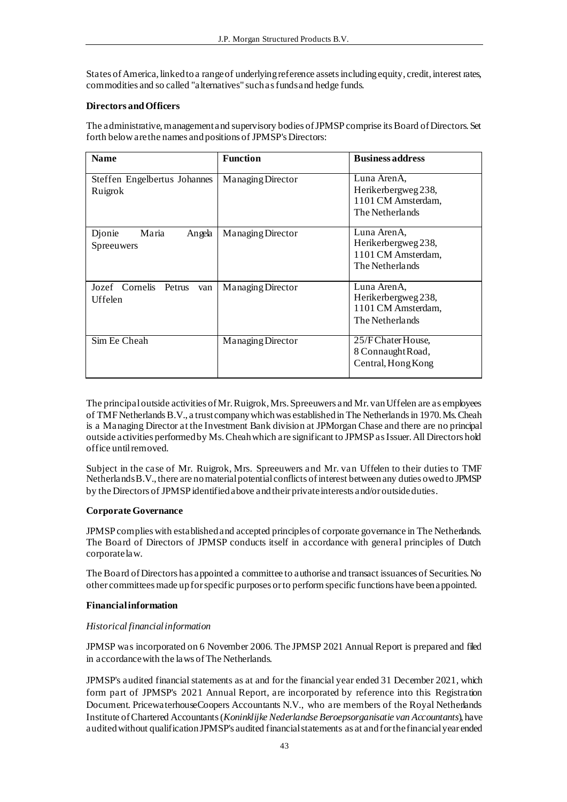States of America, linked to a range of underlying reference assets including equity, credit, interest rates, commodities and so called "alternatives" such as funds and hedge funds.

## **Directors and Officers**

The administrative, management and supervisory bodies of JPMSP comprise its Board of Directors. Set forth below are the names and positions of JPMSP's Directors:

| <b>Name</b>                                | <b>Function</b>   | <b>Business address</b>                                                     |
|--------------------------------------------|-------------------|-----------------------------------------------------------------------------|
| Steffen Engelbertus Johannes<br>Ruigrok    | Managing Director | Luna ArenA.<br>Herikerbergweg 238,<br>1101 CM Amsterdam,<br>The Netherlands |
| Maria<br>Djonie<br>Angela<br>Spreeuwers    | Managing Director | Luna ArenA.<br>Herikerbergweg 238,<br>1101 CM Amsterdam,<br>The Netherlands |
| Jozef Cornelis<br>Petrus<br>van<br>Uffelen | Managing Director | Luna ArenA.<br>Herikerbergweg 238,<br>1101 CM Amsterdam,<br>The Netherlands |
| Sim Ee Cheah                               | Managing Director | 25/F Chater House,<br>8 Connaught Road,<br>Central, Hong Kong               |

The principal outside activities of Mr. Ruigrok, Mrs. Spreeuwers and Mr. van Uffelen are as employees of TMF Netherlands B.V., a trust company which was established in The Netherlands in 1970. Ms. Cheah is a Managing Director at the Investment Bank division at JPMorgan Chase and there are no principal outside activities performed by Ms. Cheah which are significant to JPMSP as Issuer. All Directors hold office until removed.

Subject in the case of Mr. Ruigrok, Mrs. Spreeuwers and Mr. van Uffelen to their duties to TMF Netherlands B.V., there are no material potential conflicts of interest between any duties owed to JPMSP by the Directors of JPMSP identified above and their private interests and/or outside duties.

#### **Corporate Governance**

JPMSP complies with established and accepted principles of corporate governance in The Netherlands. The Board of Directors of JPMSP conducts itself in accordance with general principles of Dutch corporate law.

The Board of Directors has appointed a committee to authorise and transact issuances of Securities. No other committees made up for specific purposes or to perform specific functions have been appointed.

## **Financial information**

#### *Historical financial information*

JPMSP was incorporated on 6 November 2006. The JPMSP 2021 Annual Report is prepared and filed in accordance with the laws of The Netherlands.

JPMSP's audited financial statements as at and for the financial year ended 31 December 2021, which form part of JPMSP's 2021 Annual Report, are incorporated by reference into this Registration Document. PricewaterhouseCoopers Accountants N.V., who are members of the Royal Netherlands Institute of Chartered Accountants (*Koninklijke Nederlandse Beroepsorganisatie van Accountants*), have audited without qualification JPMSP's audited financial statements as at and for the financial year ended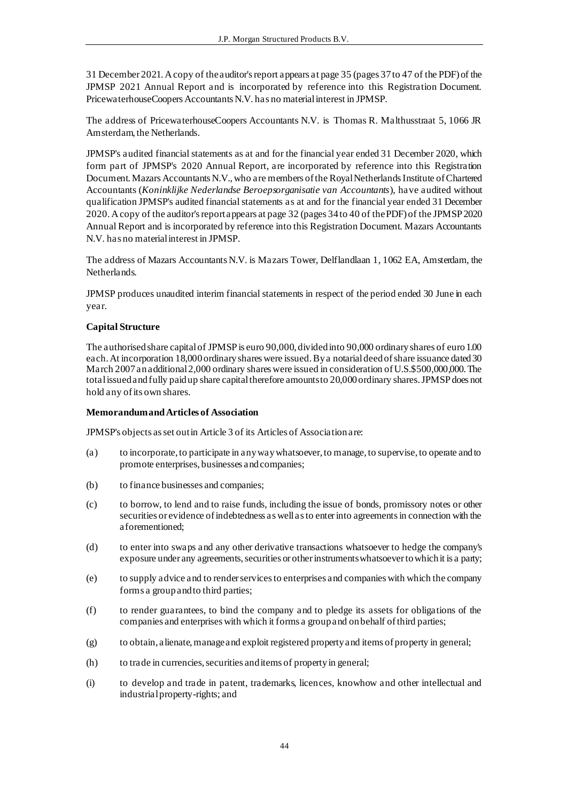31 December 2021. A copy of the auditor's report appears at page 35 (pages 37to 47 of the PDF) of the JPMSP 2021 Annual Report and is incorporated by reference into this Registration Document. PricewaterhouseCoopers Accountants N.V. has no material interest in JPMSP.

The address of PricewaterhouseCoopers Accountants N.V. is Thomas R. Malthusstraat 5, 1066 JR Amsterdam, the Netherlands.

JPMSP's audited financial statements as at and for the financial year ended 31 December 2020, which form part of JPMSP's 2020 Annual Report, are incorporated by reference into this Registration Document. Mazars Accountants N.V., who are members of the Royal Netherlands Institute of Chartered Accountants (*Koninklijke Nederlandse Beroepsorganisatie van Accountants*), have audited without qualification JPMSP's audited financial statements as at and for the financial year ended 31 December 2020. A copy of the auditor's report appears at page 32 (pages 34to 40 of the PDF) of the JPMSP 2020 Annual Report and is incorporated by reference into this Registration Document. Mazars Accountants N.V. has no material interest in JPMSP.

The address of Mazars Accountants N.V. is Mazars Tower, Delflandlaan 1, 1062 EA, Amsterdam, the Netherlands.

JPMSP produces unaudited interim financial statements in respect of the period ended 30 June in each year.

## **Capital Structure**

The authorised share capital of JPMSP is euro 90,000, divided into 90,000 ordinary shares of euro 1.00 each. At incorporation 18,000 ordinary shares were issued. By a notarial deed of share issuance dated 30 March 2007 an additional 2,000 ordinary shares were issued in consideration of U.S.\$500,000,000. The total issued and fully paid up share capital therefore amounts to 20,000 ordinary shares. JPMSP does not hold any of its own shares.

## **Memorandum and Articles of Association**

JPMSP's objects as set out in Article 3 of its Articles of Association are:

- (a) to incorporate, to participate in any way whatsoever, to manage, to supervise, to operate and to promote enterprises, businesses and companies;
- (b) to finance businesses and companies;
- (c) to borrow, to lend and to raise funds, including the issue of bonds, promissory notes or other securities or evidence of indebtedness as well as to enter into agreements in connection with the aforementioned;
- (d) to enter into swaps and any other derivative transactions whatsoever to hedge the company's exposure under any agreements, securities or other instruments whatsoever to which it is a party;
- (e) to supply advice and to render services to enterprises and companies with which the company forms a group and to third parties;
- (f) to render guarantees, to bind the company and to pledge its assets for obligations of the companies and enterprises with which it forms a group and on behalf of third parties;
- (g) to obtain, alienate, manage and exploit registered property and items of property in general;
- (h) to trade in currencies, securities and items of property in general;
- (i) to develop and trade in patent, trademarks, licences, knowhow and other intellectual and industrial property-rights; and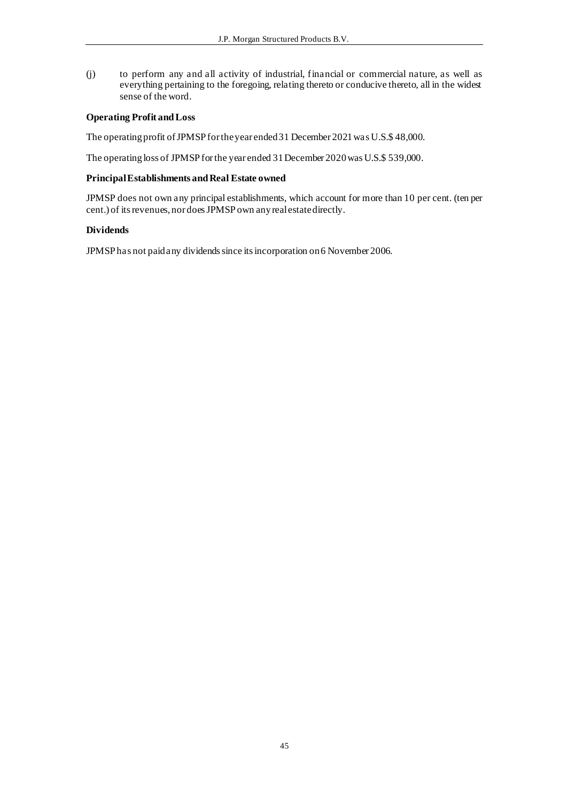(j) to perform any and all activity of industrial, financial or commercial nature, as well as everything pertaining to the foregoing, relating thereto or conducive thereto, all in the widest sense of the word.

## **Operating Profit and Loss**

The operating profit of JPMSP for the year ended 31 December 2021 was U.S.\$ 48,000.

The operating loss of JPMSP for the year ended 31 December 2020 was U.S.\$ 539,000.

## **Principal Establishments and Real Estate owned**

JPMSP does not own any principal establishments, which account for more than 10 per cent. (ten per cent.) of its revenues, nor does JPMSP own any real estate directly.

## **Dividends**

JPMSP has not paid any dividends since its incorporation on 6 November 2006.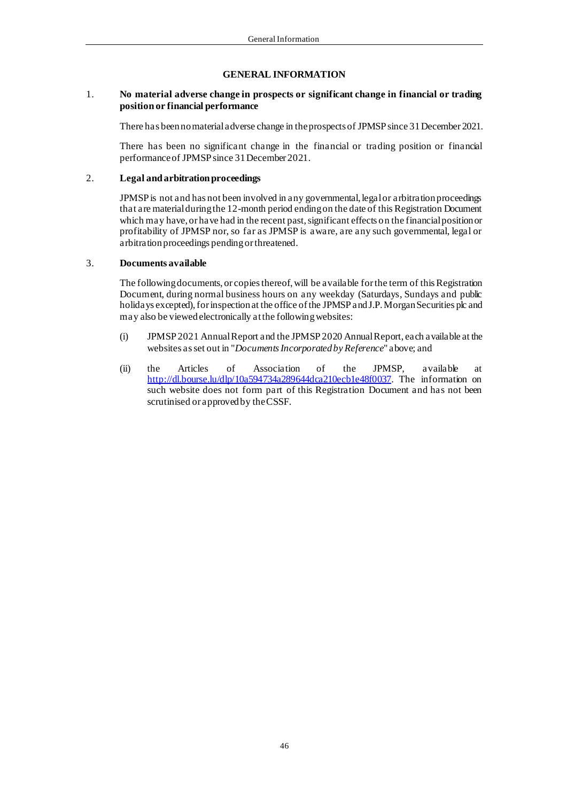#### **GENERAL INFORMATION**

#### 1. **No material adverse change in prospects or significant change in financial or trading position or financial performance**

There has been no material adverse change in the prospectsof JPMSP since 31 December 2021.

There has been no significant change in the financial or trading position or financial performance of JPMSP since 31 December 2021.

#### 2. **Legal and arbitration proceedings**

JPMSP is not and has not been involved in any governmental, legal or arbitration proceedings that are material during the 12-month period ending on the date of this Registration Document which may have, or have had in the recent past, significant effects on the financial position or profitability of JPMSP nor, so far as JPMSP is aware, are any such governmental, legal or arbitration proceedings pending or threatened.

#### 3. **Documents available**

The following documents, or copies thereof, will be available for the term of this Registration Document, during normal business hours on any weekday (Saturdays, Sundays and public holidays excepted), for inspection at the office of the JPMSP and J.P. Morgan Securities plc and may also be viewed electronically at the following websites:

- (i) JPMSP 2021 Annual Report and the JPMSP 2020 Annual Report, each available at the websites as set out in "*Documents Incorporated by Reference*" above; and
- (ii) the Articles of Association of the JPMSP, available at <http://dl.bourse.lu/dlp/10a594734a289644dca210ecb1e48f0037>. The information on such website does not form part of this Registration Document and has not been scrutinised or approved by the CSSF.